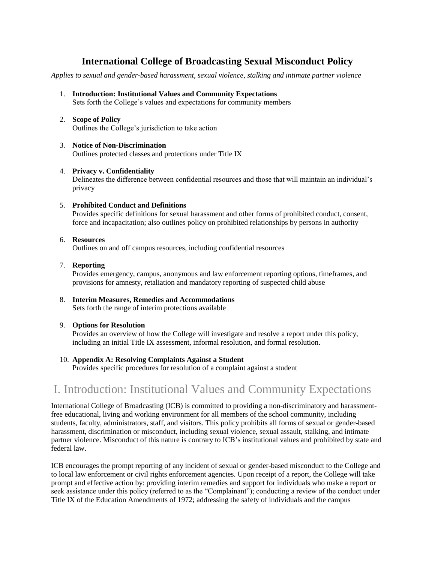## **International College of Broadcasting Sexual Misconduct Policy**

*Applies to sexual and gender-based harassment, sexual violence, stalking and intimate partner violence*

- 1. **[Introduction: Institutional Values and Community Expectations](http://oxy.edu/sexual-assault-resources-support/policies-procedures#I.Introduction: Institutional Values and Community Expectations)** Sets forth the College's values and expectations for community members
- 2. **[Scope of Policy](http://oxy.edu/sexual-assault-resources-support/policies-procedures#II.Scope of Policy)** Outlines the College's jurisdiction to take action
- 3. **[Notice of Non-Discrimination](http://oxy.edu/sexual-assault-resources-support/policies-procedures#III.Notice of Non-Discrimination)** Outlines protected classes and protections under Title IX
- 4. **[Privacy v. Confidentiality](http://oxy.edu/sexual-assault-resources-support/policies-procedures#IV.Privacy vs. Confidentiality)**

Delineates the difference between confidential resources and those that will maintain an individual's privacy

5. **[Prohibited Conduct and Definitions](http://oxy.edu/sexual-assault-resources-support/policies-procedures#V. Prohibited Conduct and Definitions)**

Provides specific definitions for sexual harassment and other forms of prohibited conduct, consent, force and incapacitation; also outlines policy on prohibited relationships by persons in authority

6. **[Resources](http://oxy.edu/sexual-assault-resources-support/policies-procedures#VI. Resources)**

Outlines on and off campus resources, including confidential resources

7. **[Reporting](http://oxy.edu/sexual-assault-resources-support/policies-procedures#VII. Reporting)**

Provides emergency, campus, anonymous and law enforcement reporting options, timeframes, and provisions for amnesty, retaliation and mandatory reporting of suspected child abuse

- 8. **[Interim Measures, Remedies and Accommodations](http://oxy.edu/sexual-assault-resources-support/policies-procedures#VIII. Interim Measures, Remedies and Accommodations)** Sets forth the range of interim protections available
- 9. **[Options for Resolution](http://oxy.edu/sexual-assault-resources-support/policies-procedures#IX. Options for Resolution)**

Provides an overview of how the College will investigate and resolve a report under this policy, including an initial Title IX assessment, informal resolution, and formal resolution.

10. **[Appendix A: Resolving Complaints Against a Student](http://oxy.edu/sexual-assault-resources-support/policies-procedures#IX. Options for Resolution)**

Provides specific procedures for resolution of a complaint against a student

# I. Introduction: Institutional Values and Community Expectations

International College of Broadcasting (ICB) is committed to providing a non-discriminatory and harassmentfree educational, living and working environment for all members of the school community, including students, faculty, administrators, staff, and visitors. This policy prohibits all forms of sexual or gender-based harassment, discrimination or misconduct, including sexual violence, sexual assault, stalking, and intimate partner violence. Misconduct of this nature is contrary to ICB's institutional values and prohibited by state and federal law.

ICB encourages the prompt reporting of any incident of sexual or gender-based misconduct to the College and to local law enforcement or civil rights enforcement agencies. Upon receipt of a report, the College will take prompt and effective action by: providing interim remedies and support for individuals who make a report or seek assistance under this policy (referred to as the "Complainant"); conducting a review of the conduct under Title IX of the Education Amendments of 1972; addressing the safety of individuals and the campus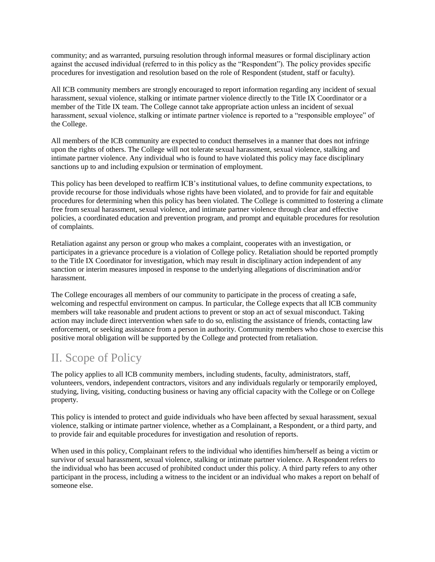community; and as warranted, pursuing resolution through informal measures or formal disciplinary action against the accused individual (referred to in this policy as the "Respondent"). The policy provides specific procedures for investigation and resolution based on the role of Respondent (student, staff or faculty).

All ICB community members are strongly encouraged to report information regarding any incident of sexual harassment, sexual violence, stalking or intimate partner violence directly to the Title IX Coordinator or a member of the Title IX team. The College cannot take appropriate action unless an incident of sexual harassment, sexual violence, stalking or intimate partner violence is reported to a "responsible employee" of the College.

All members of the ICB community are expected to conduct themselves in a manner that does not infringe upon the rights of others. The College will not tolerate sexual harassment, sexual violence, stalking and intimate partner violence. Any individual who is found to have violated this policy may face disciplinary sanctions up to and including expulsion or termination of employment.

This policy has been developed to reaffirm ICB's institutional values, to define community expectations, to provide recourse for those individuals whose rights have been violated, and to provide for fair and equitable procedures for determining when this policy has been violated. The College is committed to fostering a climate free from sexual harassment, sexual violence, and intimate partner violence through clear and effective policies, a coordinated education and prevention program, and prompt and equitable procedures for resolution of complaints.

Retaliation against any person or group who makes a complaint, cooperates with an investigation, or participates in a grievance procedure is a violation of College policy. Retaliation should be reported promptly to the Title IX Coordinator for investigation, which may result in disciplinary action independent of any sanction or interim measures imposed in response to the underlying allegations of discrimination and/or harassment.

The College encourages all members of our community to participate in the process of creating a safe, welcoming and respectful environment on campus. In particular, the College expects that all ICB community members will take reasonable and prudent actions to prevent or stop an act of sexual misconduct. Taking action may include direct intervention when safe to do so, enlisting the assistance of friends, contacting law enforcement, or seeking assistance from a person in authority. Community members who chose to exercise this positive moral obligation will be supported by the College and protected from retaliation.

# II. Scope of Policy

The policy applies to all ICB community members, including students, faculty, administrators, staff, volunteers, vendors, independent contractors, visitors and any individuals regularly or temporarily employed, studying, living, visiting, conducting business or having any official capacity with the College or on College property.

This policy is intended to protect and guide individuals who have been affected by sexual harassment, sexual violence, stalking or intimate partner violence, whether as a Complainant, a Respondent, or a third party, and to provide fair and equitable procedures for investigation and resolution of reports.

When used in this policy, Complainant refers to the individual who identifies him/herself as being a victim or survivor of sexual harassment, sexual violence, stalking or intimate partner violence. A Respondent refers to the individual who has been accused of prohibited conduct under this policy. A third party refers to any other participant in the process, including a witness to the incident or an individual who makes a report on behalf of someone else.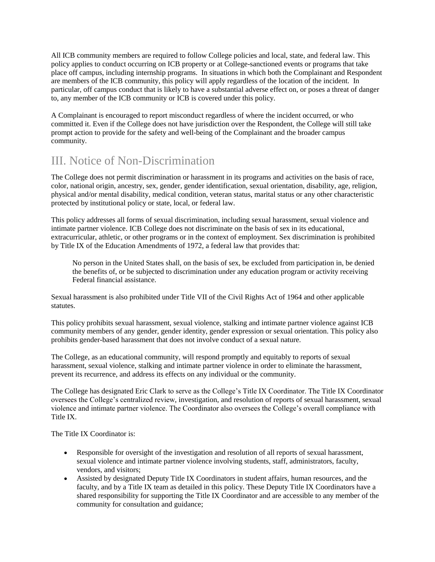All ICB community members are required to follow College policies and local, state, and federal law. This policy applies to conduct occurring on ICB property or at College-sanctioned events or programs that take place off campus, including internship programs. In situations in which both the Complainant and Respondent are members of the ICB community, this policy will apply regardless of the location of the incident. In particular, off campus conduct that is likely to have a substantial adverse effect on, or poses a threat of danger to, any member of the ICB community or ICB is covered under this policy.

A Complainant is encouraged to report misconduct regardless of where the incident occurred, or who committed it. Even if the College does not have jurisdiction over the Respondent, the College will still take prompt action to provide for the safety and well-being of the Complainant and the broader campus community.

# III. Notice of Non-Discrimination

The College does not permit discrimination or harassment in its programs and activities on the basis of race, color, national origin, ancestry, sex, gender, gender identification, sexual orientation, disability, age, religion, physical and/or mental disability, medical condition, veteran status, marital status or any other characteristic protected by institutional policy or state, local, or federal law.

This policy addresses all forms of sexual discrimination, including sexual harassment, sexual violence and intimate partner violence. ICB College does not discriminate on the basis of sex in its educational, extracurricular, athletic, or other programs or in the context of employment. Sex discrimination is prohibited by Title IX of the Education Amendments of 1972, a federal law that provides that:

No person in the United States shall, on the basis of sex, be excluded from participation in, be denied the benefits of, or be subjected to discrimination under any education program or activity receiving Federal financial assistance.

Sexual harassment is also prohibited under Title VII of the Civil Rights Act of 1964 and other applicable statutes.

This policy prohibits sexual harassment, sexual violence, stalking and intimate partner violence against ICB community members of any gender, gender identity, gender expression or sexual orientation. This policy also prohibits gender-based harassment that does not involve conduct of a sexual nature.

The College, as an educational community, will respond promptly and equitably to reports of sexual harassment, sexual violence, stalking and intimate partner violence in order to eliminate the harassment, prevent its recurrence, and address its effects on any individual or the community.

The College has designated Eric Clark to serve as the College's Title IX Coordinator. The Title IX Coordinator oversees the College's centralized review, investigation, and resolution of reports of sexual harassment, sexual violence and intimate partner violence. The Coordinator also oversees the College's overall compliance with Title IX.

The Title IX Coordinator is:

- Responsible for oversight of the investigation and resolution of all reports of sexual harassment, sexual violence and intimate partner violence involving students, staff, administrators, faculty, vendors, and visitors;
- Assisted by designated Deputy Title IX Coordinators in student affairs, human resources, and the faculty, and by a Title IX team as detailed in this policy. These Deputy Title IX Coordinators have a shared responsibility for supporting the Title IX Coordinator and are accessible to any member of the community for consultation and guidance;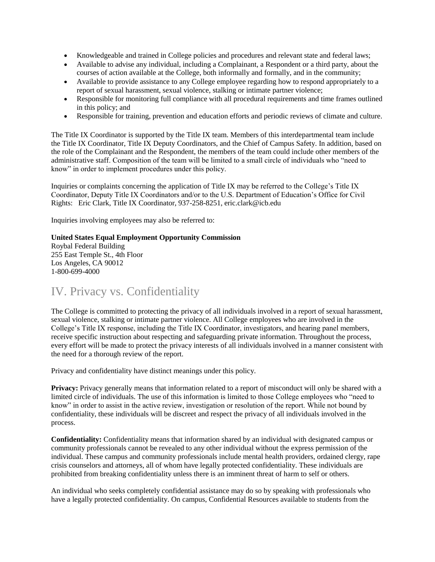- Knowledgeable and trained in College policies and procedures and relevant state and federal laws;
- Available to advise any individual, including a Complainant, a Respondent or a third party, about the courses of action available at the College, both informally and formally, and in the community;
- Available to provide assistance to any College employee regarding how to respond appropriately to a report of sexual harassment, sexual violence, stalking or intimate partner violence;
- Responsible for monitoring full compliance with all procedural requirements and time frames outlined in this policy; and
- Responsible for training, prevention and education efforts and periodic reviews of climate and culture.

The Title IX Coordinator is supported by the Title IX team. Members of this interdepartmental team include the Title IX Coordinator, Title IX Deputy Coordinators, and the Chief of Campus Safety. In addition, based on the role of the Complainant and the Respondent, the members of the team could include other members of the administrative staff. Composition of the team will be limited to a small circle of individuals who "need to know" in order to implement procedures under this policy.

Inquiries or complaints concerning the application of Title IX may be referred to the College's Title IX Coordinator, Deputy Title IX Coordinators and/or to the U.S. Department of Education's Office for Civil Rights: Eric Clark, Title IX Coordinator, 937-258-8251, eric.clark@icb.edu

Inquiries involving employees may also be referred to:

#### **United States Equal Employment Opportunity Commission**

Roybal Federal Building 255 East Temple St., 4th Floor Los Angeles, CA 90012 1-800-699-4000

# IV. Privacy vs. Confidentiality

The College is committed to protecting the privacy of all individuals involved in a report of sexual harassment, sexual violence, stalking or intimate partner violence. All College employees who are involved in the College's Title IX response, including the Title IX Coordinator, investigators, and hearing panel members, receive specific instruction about respecting and safeguarding private information. Throughout the process, every effort will be made to protect the privacy interests of all individuals involved in a manner consistent with the need for a thorough review of the report.

Privacy and confidentiality have distinct meanings under this policy.

**Privacy:** Privacy generally means that information related to a report of misconduct will only be shared with a limited circle of individuals. The use of this information is limited to those College employees who "need to know" in order to assist in the active review, investigation or resolution of the report. While not bound by confidentiality, these individuals will be discreet and respect the privacy of all individuals involved in the process.

**Confidentiality:** Confidentiality means that information shared by an individual with designated campus or community professionals cannot be revealed to any other individual without the express permission of the individual. These campus and community professionals include mental health providers, ordained clergy, rape crisis counselors and attorneys, all of whom have legally protected confidentiality. These individuals are prohibited from breaking confidentiality unless there is an imminent threat of harm to self or others.

An individual who seeks completely confidential assistance may do so by speaking with professionals who have a legally protected confidentiality. On campus, Confidential Resources available to students from the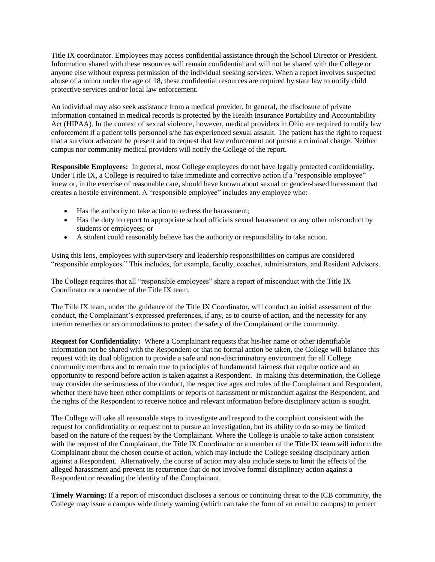Title IX coordinator. Employees may access confidential assistance through the School Director or President. Information shared with these resources will remain confidential and will not be shared with the College or anyone else without express permission of the individual seeking services. When a report involves suspected abuse of a minor under the age of 18, these confidential resources are required by state law to notify child protective services and/or local law enforcement.

An individual may also seek assistance from a medical provider. In general, the disclosure of private information contained in medical records is protected by the Health Insurance Portability and Accountability Act (HIPAA). In the context of sexual violence, however, medical providers in Ohio are required to notify law enforcement if a patient tells personnel s/he has experienced sexual assault. The patient has the right to request that a survivor advocate be present and to request that law enforcement not pursue a criminal charge. Neither campus nor community medical providers will notify the College of the report.

**Responsible Employees:** In general, most College employees do not have legally protected confidentiality. Under Title IX, a College is required to take immediate and corrective action if a "responsible employee" knew or, in the exercise of reasonable care, should have known about sexual or gender-based harassment that creates a hostile environment. A "responsible employee" includes any employee who:

- Has the authority to take action to redress the harassment;
- Has the duty to report to appropriate school officials sexual harassment or any other misconduct by students or employees; or
- A student could reasonably believe has the authority or responsibility to take action.

Using this lens, employees with supervisory and leadership responsibilities on campus are considered "responsible employees." This includes, for example, faculty, coaches, administrators, and Resident Advisors.

The College requires that all "responsible employees" share a report of misconduct with the Title IX Coordinator or a member of the Title IX team.

The Title IX team, under the guidance of the Title IX Coordinator, will conduct an initial assessment of the conduct, the Complainant's expressed preferences, if any, as to course of action, and the necessity for any interim remedies or accommodations to protect the safety of the Complainant or the community.

**Request for Confidentiality:** Where a Complainant requests that his/her name or other identifiable information not be shared with the Respondent or that no formal action be taken, the College will balance this request with its dual obligation to provide a safe and non-discriminatory environment for all College community members and to remain true to principles of fundamental fairness that require notice and an opportunity to respond before action is taken against a Respondent. In making this determination, the College may consider the seriousness of the conduct, the respective ages and roles of the Complainant and Respondent, whether there have been other complaints or reports of harassment or misconduct against the Respondent, and the rights of the Respondent to receive notice and relevant information before disciplinary action is sought.

The College will take all reasonable steps to investigate and respond to the complaint consistent with the request for confidentiality or request not to pursue an investigation, but its ability to do so may be limited based on the nature of the request by the Complainant. Where the College is unable to take action consistent with the request of the Complainant, the Title IX Coordinator or a member of the Title IX team will inform the Complainant about the chosen course of action, which may include the College seeking disciplinary action against a Respondent. Alternatively, the course of action may also include steps to limit the effects of the alleged harassment and prevent its recurrence that do not involve formal disciplinary action against a Respondent or revealing the identity of the Complainant.

**Timely Warning:** If a report of misconduct discloses a serious or continuing threat to the ICB community, the College may issue a campus wide timely warning (which can take the form of an email to campus) to protect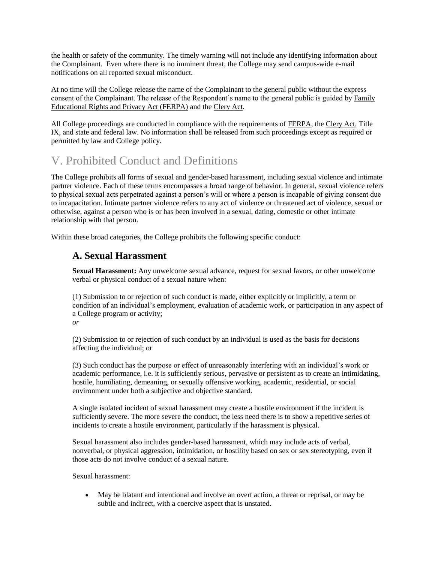the health or safety of the community. The timely warning will not include any identifying information about the Complainant. Even where there is no imminent threat, the College may send campus-wide e-mail notifications on all reported sexual misconduct.

At no time will the College release the name of the Complainant to the general public without the express consent of the Complainant. The release of the Respondent's name to the general public is guided by Family Educational Rights and Privacy Act (FERPA) and the Clery Act.

All College proceedings are conducted in compliance with the requirements of FERPA, the Clery Act, Title IX, and state and federal law. No information shall be released from such proceedings except as required or permitted by law and College policy.

# V. Prohibited Conduct and Definitions

The College prohibits all forms of sexual and gender-based harassment, including sexual violence and intimate partner violence. Each of these terms encompasses a broad range of behavior. In general, sexual violence refers to physical sexual acts perpetrated against a person's will or where a person is incapable of giving consent due to incapacitation. Intimate partner violence refers to any act of violence or threatened act of violence, sexual or otherwise, against a person who is or has been involved in a sexual, dating, domestic or other intimate relationship with that person.

Within these broad categories, the College prohibits the following specific conduct:

## **A. Sexual Harassment**

**Sexual Harassment:** Any unwelcome sexual advance, request for sexual favors, or other unwelcome verbal or physical conduct of a sexual nature when:

(1) Submission to or rejection of such conduct is made, either explicitly or implicitly, a term or condition of an individual's employment, evaluation of academic work, or participation in any aspect of a College program or activity; *or*

(2) Submission to or rejection of such conduct by an individual is used as the basis for decisions affecting the individual; or

(3) Such conduct has the purpose or effect of unreasonably interfering with an individual's work or academic performance, i.e. it is sufficiently serious, pervasive or persistent as to create an intimidating, hostile, humiliating, demeaning, or sexually offensive working, academic, residential, or social environment under both a subjective and objective standard.

A single isolated incident of sexual harassment may create a hostile environment if the incident is sufficiently severe. The more severe the conduct, the less need there is to show a repetitive series of incidents to create a hostile environment, particularly if the harassment is physical.

Sexual harassment also includes gender-based harassment, which may include acts of verbal, nonverbal, or physical aggression, intimidation, or hostility based on sex or sex stereotyping, even if those acts do not involve conduct of a sexual nature.

Sexual harassment:

 May be blatant and intentional and involve an overt action, a threat or reprisal, or may be subtle and indirect, with a coercive aspect that is unstated.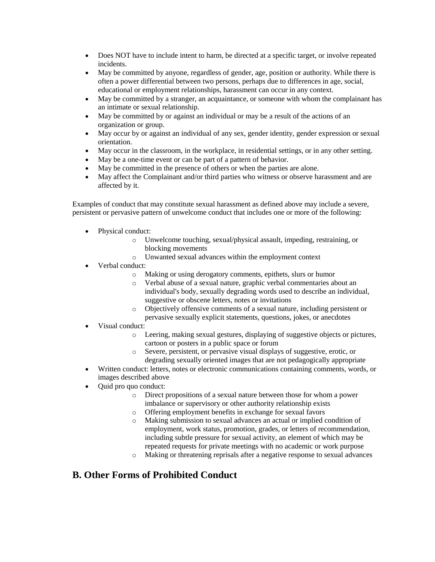- Does NOT have to include intent to harm, be directed at a specific target, or involve repeated incidents.
- May be committed by anyone, regardless of gender, age, position or authority. While there is often a power differential between two persons, perhaps due to differences in age, social, educational or employment relationships, harassment can occur in any context.
- May be committed by a stranger, an acquaintance, or someone with whom the complainant has an intimate or sexual relationship.
- May be committed by or against an individual or may be a result of the actions of an organization or group.
- May occur by or against an individual of any sex, gender identity, gender expression or sexual orientation.
- May occur in the classroom, in the workplace, in residential settings, or in any other setting.
- May be a one-time event or can be part of a pattern of behavior.
- May be committed in the presence of others or when the parties are alone.
- May affect the Complainant and/or third parties who witness or observe harassment and are affected by it.

Examples of conduct that may constitute sexual harassment as defined above may include a severe, persistent or pervasive pattern of unwelcome conduct that includes one or more of the following:

- Physical conduct:
	- o Unwelcome touching, sexual/physical assault, impeding, restraining, or blocking movements
	- o Unwanted sexual advances within the employment context
- Verbal conduct:
	- o Making or using derogatory comments, epithets, slurs or humor
	- o Verbal abuse of a sexual nature, graphic verbal commentaries about an individual's body, sexually degrading words used to describe an individual, suggestive or obscene letters, notes or invitations
	- o Objectively offensive comments of a sexual nature, including persistent or pervasive sexually explicit statements, questions, jokes, or anecdotes
- Visual conduct:
	- o Leering, making sexual gestures, displaying of suggestive objects or pictures, cartoon or posters in a public space or forum
	- o Severe, persistent, or pervasive visual displays of suggestive, erotic, or degrading sexually oriented images that are not pedagogically appropriate
- Written conduct: letters, notes or electronic communications containing comments, words, or images described above
- Quid pro quo conduct:
	- o Direct propositions of a sexual nature between those for whom a power imbalance or supervisory or other authority relationship exists
	- o Offering employment benefits in exchange for sexual favors
	- o Making submission to sexual advances an actual or implied condition of employment, work status, promotion, grades, or letters of recommendation, including subtle pressure for sexual activity, an element of which may be repeated requests for private meetings with no academic or work purpose
	- o Making or threatening reprisals after a negative response to sexual advances

#### **B. Other Forms of Prohibited Conduct**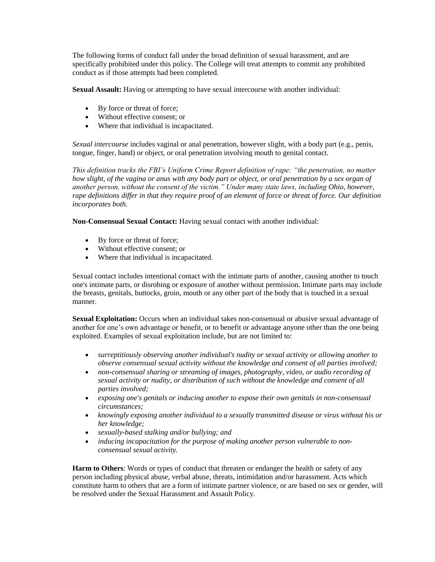The following forms of conduct fall under the broad definition of sexual harassment, and are specifically prohibited under this policy. The College will treat attempts to commit any prohibited conduct as if those attempts had been completed.

**Sexual Assault:** Having or attempting to have sexual intercourse with another individual:

- By force or threat of force;
- Without effective consent; or
- Where that individual is incapacitated.

*Sexual intercourse* includes vaginal or anal penetration, however slight, with a body part (e.g., penis, tongue, finger, hand) or object, or oral penetration involving mouth to genital contact.

*This definition tracks the FBI's Uniform Crime Report definition of rape: "the penetration, no matter how slight, of the vagina or anus with any body part or object, or oral penetration by a sex organ of another person, without the consent of the victim." Under many state laws, including Ohio, however, rape definitions differ in that they require proof of an element of force or threat of force. Our definition incorporates both.*

**Non-Consensual Sexual Contact:** Having sexual contact with another individual:

- By force or threat of force;
- Without effective consent; or
- Where that individual is incapacitated.

Sexual contact includes intentional contact with the intimate parts of another, causing another to touch one's intimate parts, or disrobing or exposure of another without permission. Intimate parts may include the breasts, genitals, buttocks, groin, mouth or any other part of the body that is touched in a sexual manner.

**Sexual Exploitation:** Occurs when an individual takes non-consensual or abusive sexual advantage of another for one's own advantage or benefit, or to benefit or advantage anyone other than the one being exploited. Examples of sexual exploitation include, but are not limited to:

- *surreptitiously observing another individual's nudity or sexual activity or allowing another to observe consensual sexual activity without the knowledge and consent of all parties involved;*
- *non-consensual sharing or streaming of images, photography, video, or audio recording of sexual activity or nudity, or distribution of such without the knowledge and consent of all parties involved;*
- *exposing one's genitals or inducing another to expose their own genitals in non-consensual circumstances;*
- *knowingly exposing another individual to a sexually transmitted disease or virus without his or her knowledge;*
- *sexually-based stalking and/or bullying; and*
- *inducing incapacitation for the purpose of making another person vulnerable to nonconsensual sexual activity.*

**Harm to Others**: Words or types of conduct that threaten or endanger the health or safety of any person including physical abuse, verbal abuse, threats, intimidation and/or harassment. Acts which constitute harm to others that are a form of intimate partner violence, or are based on sex or gender, will be resolved under the Sexual Harassment and Assault Policy.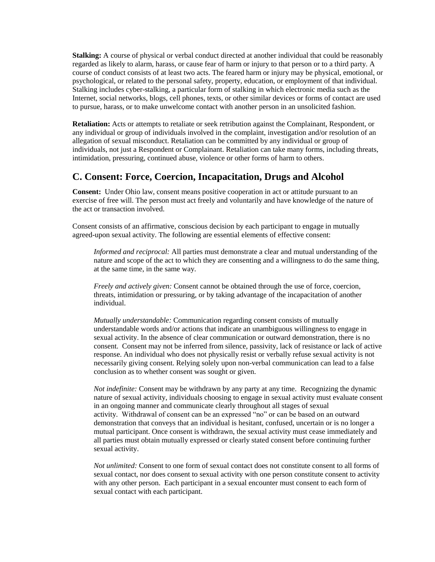**Stalking:** A course of physical or verbal conduct directed at another individual that could be reasonably regarded as likely to alarm, harass, or cause fear of harm or injury to that person or to a third party. A course of conduct consists of at least two acts. The feared harm or injury may be physical, emotional, or psychological, or related to the personal safety, property, education, or employment of that individual. Stalking includes cyber-stalking, a particular form of stalking in which electronic media such as the Internet, social networks, blogs, cell phones, texts, or other similar devices or forms of contact are used to pursue, harass, or to make unwelcome contact with another person in an unsolicited fashion.

**Retaliation:** Acts or attempts to retaliate or seek retribution against the Complainant, Respondent, or any individual or group of individuals involved in the complaint, investigation and/or resolution of an allegation of sexual misconduct. Retaliation can be committed by any individual or group of individuals, not just a Respondent or Complainant. Retaliation can take many forms, including threats, intimidation, pressuring, continued abuse, violence or other forms of harm to others.

#### **C. Consent: Force, Coercion, Incapacitation, Drugs and Alcohol**

**Consent:** Under Ohio law, consent means positive cooperation in act or attitude pursuant to an exercise of free will. The person must act freely and voluntarily and have knowledge of the nature of the act or transaction involved.

Consent consists of an affirmative, conscious decision by each participant to engage in mutually agreed-upon sexual activity. The following are essential elements of effective consent:

*Informed and reciprocal:* All parties must demonstrate a clear and mutual understanding of the nature and scope of the act to which they are consenting and a willingness to do the same thing, at the same time, in the same way.

*Freely and actively given:* Consent cannot be obtained through the use of force, coercion, threats, intimidation or pressuring, or by taking advantage of the incapacitation of another individual.

*Mutually understandable:* Communication regarding consent consists of mutually understandable words and/or actions that indicate an unambiguous willingness to engage in sexual activity. In the absence of clear communication or outward demonstration, there is no consent. Consent may not be inferred from silence, passivity, lack of resistance or lack of active response. An individual who does not physically resist or verbally refuse sexual activity is not necessarily giving consent. Relying solely upon non-verbal communication can lead to a false conclusion as to whether consent was sought or given.

*Not indefinite:* Consent may be withdrawn by any party at any time. Recognizing the dynamic nature of sexual activity, individuals choosing to engage in sexual activity must evaluate consent in an ongoing manner and communicate clearly throughout all stages of sexual activity. Withdrawal of consent can be an expressed "no" or can be based on an outward demonstration that conveys that an individual is hesitant, confused, uncertain or is no longer a mutual participant. Once consent is withdrawn, the sexual activity must cease immediately and all parties must obtain mutually expressed or clearly stated consent before continuing further sexual activity.

*Not unlimited:* Consent to one form of sexual contact does not constitute consent to all forms of sexual contact, nor does consent to sexual activity with one person constitute consent to activity with any other person. Each participant in a sexual encounter must consent to each form of sexual contact with each participant.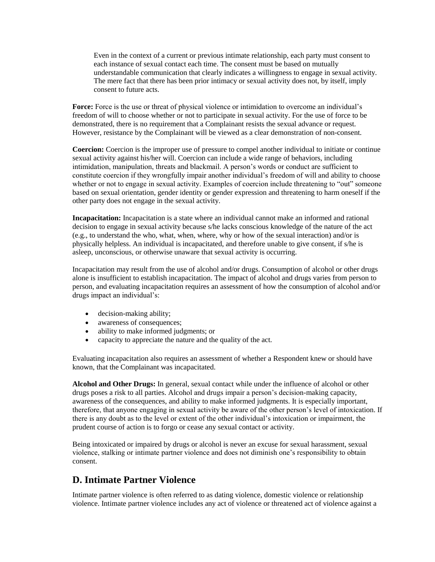Even in the context of a current or previous intimate relationship, each party must consent to each instance of sexual contact each time. The consent must be based on mutually understandable communication that clearly indicates a willingness to engage in sexual activity. The mere fact that there has been prior intimacy or sexual activity does not, by itself, imply consent to future acts.

**Force:** Force is the use or threat of physical violence or intimidation to overcome an individual's freedom of will to choose whether or not to participate in sexual activity. For the use of force to be demonstrated, there is no requirement that a Complainant resists the sexual advance or request. However, resistance by the Complainant will be viewed as a clear demonstration of non-consent.

**Coercion:** Coercion is the improper use of pressure to compel another individual to initiate or continue sexual activity against his/her will. Coercion can include a wide range of behaviors, including intimidation, manipulation, threats and blackmail. A person's words or conduct are sufficient to constitute coercion if they wrongfully impair another individual's freedom of will and ability to choose whether or not to engage in sexual activity. Examples of coercion include threatening to "out" someone based on sexual orientation, gender identity or gender expression and threatening to harm oneself if the other party does not engage in the sexual activity.

**Incapacitation:** Incapacitation is a state where an individual cannot make an informed and rational decision to engage in sexual activity because s/he lacks conscious knowledge of the nature of the act (e.g., to understand the who, what, when, where, why or how of the sexual interaction) and/or is physically helpless. An individual is incapacitated, and therefore unable to give consent, if s/he is asleep, unconscious, or otherwise unaware that sexual activity is occurring.

Incapacitation may result from the use of alcohol and/or drugs. Consumption of alcohol or other drugs alone is insufficient to establish incapacitation. The impact of alcohol and drugs varies from person to person, and evaluating incapacitation requires an assessment of how the consumption of alcohol and/or drugs impact an individual's:

- decision-making ability;
- awareness of consequences;
- ability to make informed judgments; or
- capacity to appreciate the nature and the quality of the act.

Evaluating incapacitation also requires an assessment of whether a Respondent knew or should have known, that the Complainant was incapacitated.

**Alcohol and Other Drugs:** In general, sexual contact while under the influence of alcohol or other drugs poses a risk to all parties. Alcohol and drugs impair a person's decision-making capacity, awareness of the consequences, and ability to make informed judgments. It is especially important, therefore, that anyone engaging in sexual activity be aware of the other person's level of intoxication. If there is any doubt as to the level or extent of the other individual's intoxication or impairment, the prudent course of action is to forgo or cease any sexual contact or activity.

Being intoxicated or impaired by drugs or alcohol is never an excuse for sexual harassment, sexual violence, stalking or intimate partner violence and does not diminish one's responsibility to obtain consent.

### **D. Intimate Partner Violence**

Intimate partner violence is often referred to as dating violence, domestic violence or relationship violence. Intimate partner violence includes any act of violence or threatened act of violence against a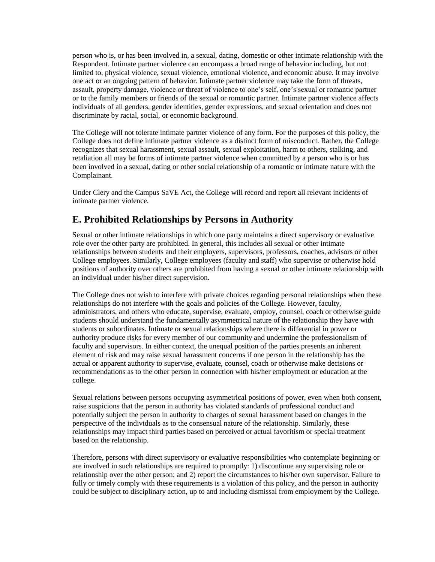person who is, or has been involved in, a sexual, dating, domestic or other intimate relationship with the Respondent. Intimate partner violence can encompass a broad range of behavior including, but not limited to, physical violence, sexual violence, emotional violence, and economic abuse. It may involve one act or an ongoing pattern of behavior. Intimate partner violence may take the form of threats, assault, property damage, violence or threat of violence to one's self, one's sexual or romantic partner or to the family members or friends of the sexual or romantic partner. Intimate partner violence affects individuals of all genders, gender identities, gender expressions, and sexual orientation and does not discriminate by racial, social, or economic background.

The College will not tolerate intimate partner violence of any form. For the purposes of this policy, the College does not define intimate partner violence as a distinct form of misconduct. Rather, the College recognizes that sexual harassment, sexual assault, sexual exploitation, harm to others, stalking, and retaliation all may be forms of intimate partner violence when committed by a person who is or has been involved in a sexual, dating or other social relationship of a romantic or intimate nature with the Complainant.

Under Clery and the Campus SaVE Act, the College will record and report all relevant incidents of intimate partner violence.

# **E. Prohibited Relationships by Persons in Authority**

Sexual or other intimate relationships in which one party maintains a direct supervisory or evaluative role over the other party are prohibited. In general, this includes all sexual or other intimate relationships between students and their employers, supervisors, professors, coaches, advisors or other College employees. Similarly, College employees (faculty and staff) who supervise or otherwise hold positions of authority over others are prohibited from having a sexual or other intimate relationship with an individual under his/her direct supervision.

The College does not wish to interfere with private choices regarding personal relationships when these relationships do not interfere with the goals and policies of the College. However, faculty, administrators, and others who educate, supervise, evaluate, employ, counsel, coach or otherwise guide students should understand the fundamentally asymmetrical nature of the relationship they have with students or subordinates. Intimate or sexual relationships where there is differential in power or authority produce risks for every member of our community and undermine the professionalism of faculty and supervisors. In either context, the unequal position of the parties presents an inherent element of risk and may raise sexual harassment concerns if one person in the relationship has the actual or apparent authority to supervise, evaluate, counsel, coach or otherwise make decisions or recommendations as to the other person in connection with his/her employment or education at the college.

Sexual relations between persons occupying asymmetrical positions of power, even when both consent, raise suspicions that the person in authority has violated standards of professional conduct and potentially subject the person in authority to charges of sexual harassment based on changes in the perspective of the individuals as to the consensual nature of the relationship. Similarly, these relationships may impact third parties based on perceived or actual favoritism or special treatment based on the relationship.

Therefore, persons with direct supervisory or evaluative responsibilities who contemplate beginning or are involved in such relationships are required to promptly: 1) discontinue any supervising role or relationship over the other person; and 2) report the circumstances to his/her own supervisor. Failure to fully or timely comply with these requirements is a violation of this policy, and the person in authority could be subject to disciplinary action, up to and including dismissal from employment by the College.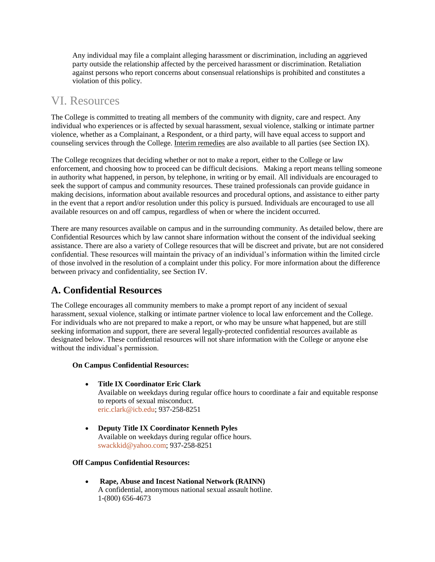Any individual may file a complaint alleging harassment or discrimination, including an aggrieved party outside the relationship affected by the perceived harassment or discrimination. Retaliation against persons who report concerns about consensual relationships is prohibited and constitutes a violation of this policy.

# VI. Resources

The College is committed to treating all members of the community with dignity, care and respect. Any individual who experiences or is affected by sexual harassment, sexual violence, stalking or intimate partner violence, whether as a Complainant, a Respondent, or a third party, will have equal access to support and counseling services through the College. Interim remedies are also available to all parties (see Section IX).

The College recognizes that deciding whether or not to make a report, either to the College or law enforcement, and choosing how to proceed can be difficult decisions. Making a report means telling someone in authority what happened, in person, by telephone, in writing or by email. All individuals are encouraged to seek the support of campus and community resources. These trained professionals can provide guidance in making decisions, information about available resources and procedural options, and assistance to either party in the event that a report and/or resolution under this policy is pursued. Individuals are encouraged to use all available resources on and off campus, regardless of when or where the incident occurred.

There are many resources available on campus and in the surrounding community. As detailed below, there are Confidential Resources which by law cannot share information without the consent of the individual seeking assistance. There are also a variety of College resources that will be discreet and private, but are not considered confidential. These resources will maintain the privacy of an individual's information within the limited circle of those involved in the resolution of a complaint under this policy. For more information about the difference between privacy and confidentiality, see Section IV.

# **A. Confidential Resources**

The College encourages all community members to make a prompt report of any incident of sexual harassment, sexual violence, stalking or intimate partner violence to local law enforcement and the College. For individuals who are not prepared to make a report, or who may be unsure what happened, but are still seeking information and support, there are several legally-protected confidential resources available as designated below. These confidential resources will not share information with the College or anyone else without the individual's permission.

#### **On Campus Confidential Resources:**

- **[Title](http://oxy.edu/office-title-ix) IX Coordinator Eric Clark** Available on weekdays during regular office hours to coordinate a fair and equitable response to reports of sexual misconduct. [eric.clark@icb.edu;](mailto:ruthjones@oxy.edu) 937-258-8251
- **Deputy Title IX Coordinator Kenneth Pyles** Available on weekdays during regular office hours. swackkid@yahoo.com; 937-258-8251

#### **Off Campus Confidential Resources:**

 **[Rape, Abuse and Incest National Network \(RAINN\)](http://www.rainn.org/)** A confidential, anonymous national sexual assault hotline. 1-(800) 656-4673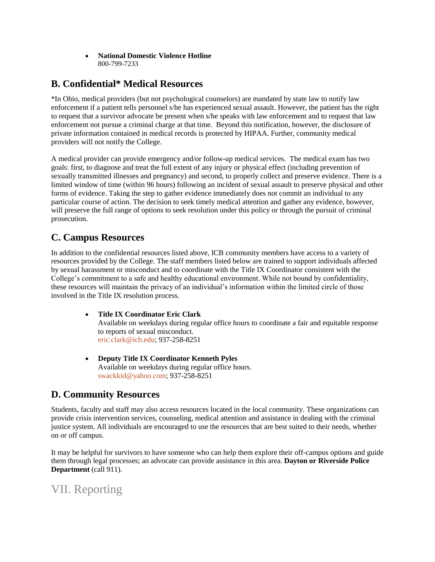#### **National Domestic Violence Hotline** 800-799-7233

## **B. Confidential\* Medical Resources**

\*In Ohio, medical providers (but not psychological counselors) are mandated by state law to notify law enforcement if a patient tells personnel s/he has experienced sexual assault. However, the patient has the right to request that a survivor advocate be present when s/he speaks with law enforcement and to request that law enforcement not pursue a criminal charge at that time. Beyond this notification, however, the disclosure of private information contained in medical records is protected by HIPAA. Further, community medical providers will not notify the College.

A medical provider can provide emergency and/or follow-up medical services. The medical exam has two goals: first, to diagnose and treat the full extent of any injury or physical effect (including prevention of sexually transmitted illnesses and pregnancy) and second, to properly collect and preserve evidence. There is a limited window of time (within 96 hours) following an incident of sexual assault to preserve physical and other forms of evidence. Taking the step to gather evidence immediately does not commit an individual to any particular course of action. The decision to seek timely medical attention and gather any evidence, however, will preserve the full range of options to seek resolution under this policy or through the pursuit of criminal prosecution.

# **C. Campus Resources**

In addition to the confidential resources listed above, ICB community members have access to a variety of resources provided by the College. The staff members listed below are trained to support individuals affected by sexual harassment or misconduct and to coordinate with the Title IX Coordinator consistent with the College's commitment to a safe and healthy educational environment. While not bound by confidentiality, these resources will maintain the privacy of an individual's information within the limited circle of those involved in the Title IX resolution process.

- **[Title](http://oxy.edu/office-title-ix) IX Coordinator Eric Clark** Available on weekdays during regular office hours to coordinate a fair and equitable response to reports of sexual misconduct. [eric.clark@icb.edu;](mailto:ruthjones@oxy.edu) 937-258-8251
- **Deputy Title IX Coordinator Kenneth Pyles** Available on weekdays during regular office hours. swackkid@yahoo.com; 937-258-8251

# **D. Community Resources**

Students, faculty and staff may also access resources located in the local community. These organizations can provide crisis intervention services, counseling, medical attention and assistance in dealing with the criminal justice system. All individuals are encouraged to use the resources that are best suited to their needs, whether on or off campus.

It may be helpful for survivors to have someone who can help them explore their off-campus options and guide them through legal processes; an advocate can provide assistance in this area. **Dayton or Riverside Police Department** (call 911).

# VII. Reporting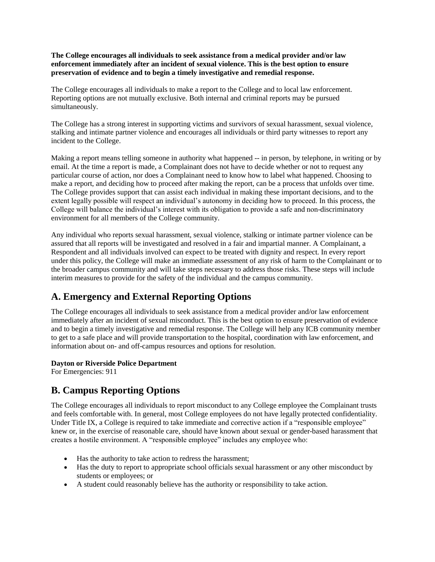**The College encourages all individuals to seek assistance from a medical provider and/or law enforcement immediately after an incident of sexual violence. This is the best option to ensure preservation of evidence and to begin a timely investigative and remedial response.**

The College encourages all individuals to make a report to the College and to local law enforcement. Reporting options are not mutually exclusive. Both internal and criminal reports may be pursued simultaneously.

The College has a strong interest in supporting victims and survivors of sexual harassment, sexual violence, stalking and intimate partner violence and encourages all individuals or third party witnesses to report any incident to the College.

Making a report means telling someone in authority what happened -- in person, by telephone, in writing or by email. At the time a report is made, a Complainant does not have to decide whether or not to request any particular course of action, nor does a Complainant need to know how to label what happened. Choosing to make a report, and deciding how to proceed after making the report, can be a process that unfolds over time. The College provides support that can assist each individual in making these important decisions, and to the extent legally possible will respect an individual's autonomy in deciding how to proceed. In this process, the College will balance the individual's interest with its obligation to provide a safe and non-discriminatory environment for all members of the College community.

Any individual who reports sexual harassment, sexual violence, stalking or intimate partner violence can be assured that all reports will be investigated and resolved in a fair and impartial manner. A Complainant, a Respondent and all individuals involved can expect to be treated with dignity and respect. In every report under this policy, the College will make an immediate assessment of any risk of harm to the Complainant or to the broader campus community and will take steps necessary to address those risks. These steps will include interim measures to provide for the safety of the individual and the campus community.

### **A. Emergency and External Reporting Options**

The College encourages all individuals to seek assistance from a medical provider and/or law enforcement immediately after an incident of sexual misconduct. This is the best option to ensure preservation of evidence and to begin a timely investigative and remedial response. The College will help any ICB community member to get to a safe place and will provide transportation to the hospital, coordination with law enforcement, and information about on- and off-campus resources and options for resolution.

#### **[Dayton](http://www.lapdonline.org/northeast_community_police_station) or Riverside Police Department**

For Emergencies: 911

### **B. Campus Reporting Options**

The College encourages all individuals to report misconduct to any College employee the Complainant trusts and feels comfortable with. In general, most College employees do not have legally protected confidentiality. Under Title IX, a College is required to take immediate and corrective action if a "responsible employee" knew or, in the exercise of reasonable care, should have known about sexual or gender-based harassment that creates a hostile environment. A "responsible employee" includes any employee who:

- Has the authority to take action to redress the harassment;
- Has the duty to report to appropriate school officials sexual harassment or any other misconduct by students or employees; or
- A student could reasonably believe has the authority or responsibility to take action.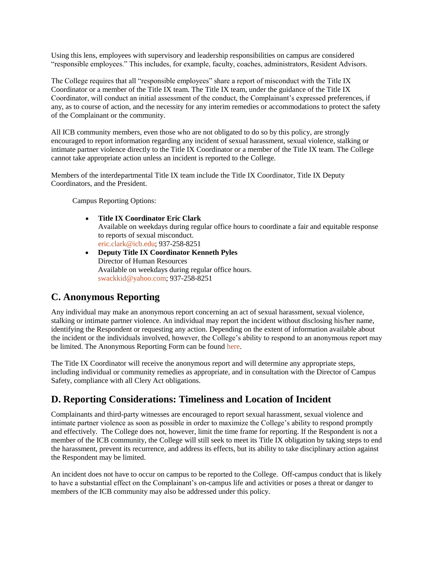Using this lens, employees with supervisory and leadership responsibilities on campus are considered "responsible employees." This includes, for example, faculty, coaches, administrators, Resident Advisors.

The College requires that all "responsible employees" share a report of misconduct with the Title IX Coordinator or a member of the Title IX team. The Title IX team, under the guidance of the Title IX Coordinator, will conduct an initial assessment of the conduct, the Complainant's expressed preferences, if any, as to course of action, and the necessity for any interim remedies or accommodations to protect the safety of the Complainant or the community.

All ICB community members, even those who are not obligated to do so by this policy, are strongly encouraged to report information regarding any incident of sexual harassment, sexual violence, stalking or intimate partner violence directly to the Title IX Coordinator or a member of the Title IX team. The College cannot take appropriate action unless an incident is reported to the College.

Members of the interdepartmental Title IX team include the Title IX Coordinator, Title IX Deputy Coordinators, and the President.

Campus Reporting Options:

- **Title IX Coordinator Eric Clark** Available on weekdays during regular office hours to coordinate a fair and equitable response to reports of sexual misconduct. [eric.clark@icb.edu;](mailto:eric.clark@icb.edu) 937-258-8251
- **Deputy Title IX Coordinator Kenneth Pyles** Director of Human Resources Available on weekdays during regular office hours. [swackkid@yahoo.com;](mailto:swackkid@yahoo.com) 937-258-8251

### **C. Anonymous Reporting**

Any individual may make an anonymous report concerning an act of sexual harassment, sexual violence, stalking or intimate partner violence. An individual may report the incident without disclosing his/her name, identifying the Respondent or requesting any action. Depending on the extent of information available about the incident or the individuals involved, however, the College's ability to respond to an anonymous report may be limited. The Anonymous Reporting Form can be found [here.](https://docs.google.com/a/oxy.edu/spreadsheet/viewform?formkey=dFNGWVhDb25nY25FN2RpX1RYcGgtRHc6MA#gid=0)

The Title IX Coordinator will receive the anonymous report and will determine any appropriate steps, including individual or community remedies as appropriate, and in consultation with the Director of Campus Safety, compliance with all Clery Act obligations.

# **D. Reporting Considerations: Timeliness and Location of Incident**

Complainants and third-party witnesses are encouraged to report sexual harassment, sexual violence and intimate partner violence as soon as possible in order to maximize the College's ability to respond promptly and effectively. The College does not, however, limit the time frame for reporting. If the Respondent is not a member of the ICB community, the College will still seek to meet its Title IX obligation by taking steps to end the harassment, prevent its recurrence, and address its effects, but its ability to take disciplinary action against the Respondent may be limited.

An incident does not have to occur on campus to be reported to the College. Off-campus conduct that is likely to have a substantial effect on the Complainant's on-campus life and activities or poses a threat or danger to members of the ICB community may also be addressed under this policy.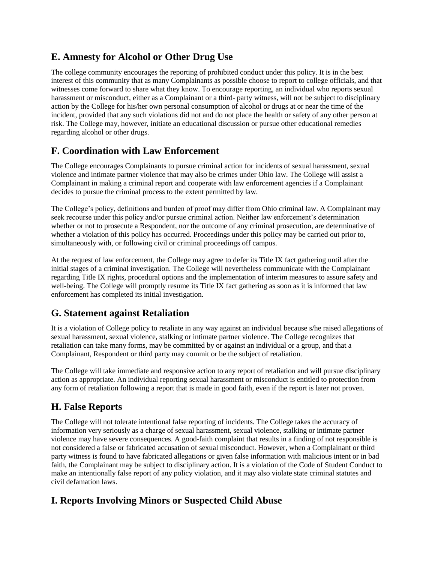## **E. Amnesty for Alcohol or Other Drug Use**

The college community encourages the reporting of prohibited conduct under this policy. It is in the best interest of this community that as many Complainants as possible choose to report to college officials, and that witnesses come forward to share what they know. To encourage reporting, an individual who reports sexual harassment or misconduct, either as a Complainant or a third- party witness, will not be subject to disciplinary action by the College for his/her own personal consumption of alcohol or drugs at or near the time of the incident, provided that any such violations did not and do not place the health or safety of any other person at risk. The College may, however, initiate an educational discussion or pursue other educational remedies regarding alcohol or other drugs.

## **F. Coordination with Law Enforcement**

The College encourages Complainants to pursue criminal action for incidents of sexual harassment, sexual violence and intimate partner violence that may also be crimes under Ohio law. The College will assist a Complainant in making a criminal report and cooperate with law enforcement agencies if a Complainant decides to pursue the criminal process to the extent permitted by law.

The College's policy, definitions and burden of proof may differ from Ohio criminal law. A Complainant may seek recourse under this policy and/or pursue criminal action. Neither law enforcement's determination whether or not to prosecute a Respondent, nor the outcome of any criminal prosecution, are determinative of whether a violation of this policy has occurred. Proceedings under this policy may be carried out prior to, simultaneously with, or following civil or criminal proceedings off campus.

At the request of law enforcement, the College may agree to defer its Title IX fact gathering until after the initial stages of a criminal investigation. The College will nevertheless communicate with the Complainant regarding Title IX rights, procedural options and the implementation of interim measures to assure safety and well-being. The College will promptly resume its Title IX fact gathering as soon as it is informed that law enforcement has completed its initial investigation.

### **G. Statement against Retaliation**

It is a violation of College policy to retaliate in any way against an individual because s/he raised allegations of sexual harassment, sexual violence, stalking or intimate partner violence. The College recognizes that retaliation can take many forms, may be committed by or against an individual or a group, and that a Complainant, Respondent or third party may commit or be the subject of retaliation.

The College will take immediate and responsive action to any report of retaliation and will pursue disciplinary action as appropriate. An individual reporting sexual harassment or misconduct is entitled to protection from any form of retaliation following a report that is made in good faith, even if the report is later not proven.

# **H. False Reports**

The College will not tolerate intentional false reporting of incidents. The College takes the accuracy of information very seriously as a charge of sexual harassment, sexual violence, stalking or intimate partner violence may have severe consequences. A good-faith complaint that results in a finding of not responsible is not considered a false or fabricated accusation of sexual misconduct. However, when a Complainant or third party witness is found to have fabricated allegations or given false information with malicious intent or in bad faith, the Complainant may be subject to disciplinary action. It is a violation of the Code of Student Conduct to make an intentionally false report of any policy violation, and it may also violate state criminal statutes and civil defamation laws.

# **I. Reports Involving Minors or Suspected Child Abuse**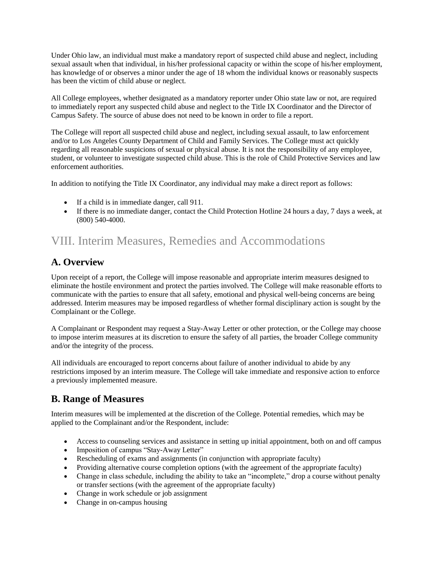Under Ohio law, an individual must make a mandatory report of suspected child abuse and neglect, including sexual assault when that individual, in his/her professional capacity or within the scope of his/her employment, has knowledge of or observes a minor under the age of 18 whom the individual knows or reasonably suspects has been the victim of child abuse or neglect.

All College employees, whether designated as a mandatory reporter under Ohio state law or not, are required to immediately report any suspected child abuse and neglect to the Title IX Coordinator and the Director of Campus Safety. The source of abuse does not need to be known in order to file a report.

The College will report all suspected child abuse and neglect, including sexual assault, to law enforcement and/or to Los Angeles County Department of Child and Family Services. The College must act quickly regarding all reasonable suspicions of sexual or physical abuse. It is not the responsibility of any employee, student, or volunteer to investigate suspected child abuse. This is the role of Child Protective Services and law enforcement authorities.

In addition to notifying the Title IX Coordinator, any individual may make a direct report as follows:

- If a child is in immediate danger, call 911.
- If there is no immediate danger, contact the Child Protection Hotline 24 hours a day, 7 days a week, at (800) 540-4000.

# VIII. Interim Measures, Remedies and Accommodations

## **A. Overview**

Upon receipt of a report, the College will impose reasonable and appropriate interim measures designed to eliminate the hostile environment and protect the parties involved. The College will make reasonable efforts to communicate with the parties to ensure that all safety, emotional and physical well-being concerns are being addressed. Interim measures may be imposed regardless of whether formal disciplinary action is sought by the Complainant or the College.

A Complainant or Respondent may request a Stay-Away Letter or other protection, or the College may choose to impose interim measures at its discretion to ensure the safety of all parties, the broader College community and/or the integrity of the process.

All individuals are encouraged to report concerns about failure of another individual to abide by any restrictions imposed by an interim measure. The College will take immediate and responsive action to enforce a previously implemented measure.

### **B. Range of Measures**

Interim measures will be implemented at the discretion of the College. Potential remedies, which may be applied to the Complainant and/or the Respondent, include:

- Access to counseling services and assistance in setting up initial appointment, both on and off campus
- Imposition of campus "Stay-Away Letter"
- Rescheduling of exams and assignments (in conjunction with appropriate faculty)
- Providing alternative course completion options (with the agreement of the appropriate faculty)
- Change in class schedule, including the ability to take an "incomplete," drop a course without penalty or transfer sections (with the agreement of the appropriate faculty)
- Change in work schedule or job assignment
- Change in on-campus housing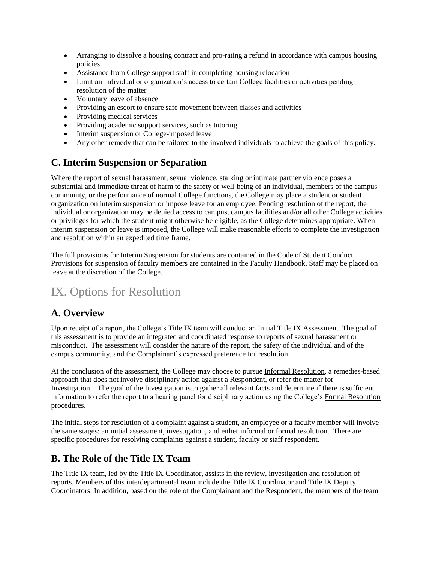- Arranging to dissolve a housing contract and pro-rating a refund in accordance with campus housing policies
- Assistance from College support staff in completing housing relocation
- Limit an individual or organization's access to certain College facilities or activities pending resolution of the matter
- Voluntary leave of absence
- Providing an escort to ensure safe movement between classes and activities
- Providing medical services
- Providing academic support services, such as tutoring
- Interim suspension or College-imposed leave
- Any other remedy that can be tailored to the involved individuals to achieve the goals of this policy.

# **C. Interim Suspension or Separation**

Where the report of sexual harassment, sexual violence, stalking or intimate partner violence poses a substantial and immediate threat of harm to the safety or well-being of an individual, members of the campus community, or the performance of normal College functions, the College may place a student or student organization on interim suspension or impose leave for an employee. Pending resolution of the report, the individual or organization may be denied access to campus, campus facilities and/or all other College activities or privileges for which the student might otherwise be eligible, as the College determines appropriate. When interim suspension or leave is imposed, the College will make reasonable efforts to complete the investigation and resolution within an expedited time frame.

The full provisions for Interim Suspension for students are contained in the Code of Student Conduct. Provisions for suspension of faculty members are contained in the Faculty Handbook. Staff may be placed on leave at the discretion of the College.

# IX. Options for Resolution

### **A. Overview**

Upon receipt of a report, the College's Title IX team will conduct an Initial Title IX Assessment. The goal of this assessment is to provide an integrated and coordinated response to reports of sexual harassment or misconduct. The assessment will consider the nature of the report, the safety of the individual and of the campus community, and the Complainant's expressed preference for resolution.

At the conclusion of the assessment, the College may choose to pursue Informal Resolution, a remedies-based approach that does not involve disciplinary action against a Respondent, or refer the matter for Investigation. The goal of the Investigation is to gather all relevant facts and determine if there is sufficient information to refer the report to a hearing panel for disciplinary action using the College's Formal Resolution procedures.

The initial steps for resolution of a complaint against a student, an employee or a faculty member will involve the same stages: an initial assessment, investigation, and either informal or formal resolution. There are specific procedures for resolving complaints against a student, faculty or staff respondent.

### **B. The Role of the Title IX Team**

The Title IX team, led by the Title IX Coordinator, assists in the review, investigation and resolution of reports. Members of this interdepartmental team include the Title IX Coordinator and Title IX Deputy Coordinators. In addition, based on the role of the Complainant and the Respondent, the members of the team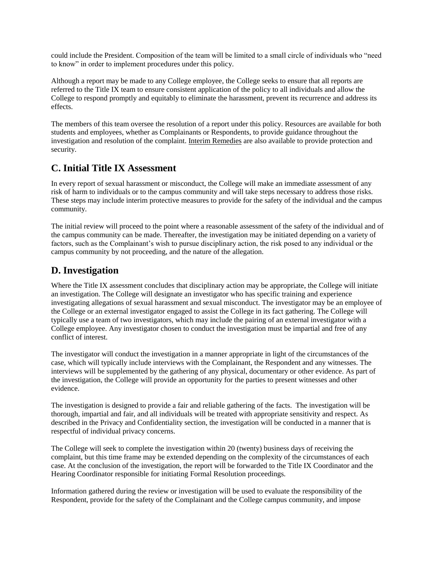could include the President. Composition of the team will be limited to a small circle of individuals who "need to know" in order to implement procedures under this policy.

Although a report may be made to any College employee, the College seeks to ensure that all reports are referred to the Title IX team to ensure consistent application of the policy to all individuals and allow the College to respond promptly and equitably to eliminate the harassment, prevent its recurrence and address its effects.

The members of this team oversee the resolution of a report under this policy. Resources are available for both students and employees, whether as Complainants or Respondents, to provide guidance throughout the investigation and resolution of the complaint. Interim Remedies are also available to provide protection and security.

### **C. Initial Title IX Assessment**

In every report of sexual harassment or misconduct, the College will make an immediate assessment of any risk of harm to individuals or to the campus community and will take steps necessary to address those risks. These steps may include interim protective measures to provide for the safety of the individual and the campus community.

The initial review will proceed to the point where a reasonable assessment of the safety of the individual and of the campus community can be made. Thereafter, the investigation may be initiated depending on a variety of factors, such as the Complainant's wish to pursue disciplinary action, the risk posed to any individual or the campus community by not proceeding, and the nature of the allegation.

### **D. Investigation**

Where the Title IX assessment concludes that disciplinary action may be appropriate, the College will initiate an investigation. The College will designate an investigator who has specific training and experience investigating allegations of sexual harassment and sexual misconduct. The investigator may be an employee of the College or an external investigator engaged to assist the College in its fact gathering. The College will typically use a team of two investigators, which may include the pairing of an external investigator with a College employee. Any investigator chosen to conduct the investigation must be impartial and free of any conflict of interest.

The investigator will conduct the investigation in a manner appropriate in light of the circumstances of the case, which will typically include interviews with the Complainant, the Respondent and any witnesses. The interviews will be supplemented by the gathering of any physical, documentary or other evidence. As part of the investigation, the College will provide an opportunity for the parties to present witnesses and other evidence.

The investigation is designed to provide a fair and reliable gathering of the facts. The investigation will be thorough, impartial and fair, and all individuals will be treated with appropriate sensitivity and respect. As described in the Privacy and Confidentiality section, the investigation will be conducted in a manner that is respectful of individual privacy concerns.

The College will seek to complete the investigation within 20 (twenty) business days of receiving the complaint, but this time frame may be extended depending on the complexity of the circumstances of each case. At the conclusion of the investigation, the report will be forwarded to the Title IX Coordinator and the Hearing Coordinator responsible for initiating Formal Resolution proceedings.

Information gathered during the review or investigation will be used to evaluate the responsibility of the Respondent, provide for the safety of the Complainant and the College campus community, and impose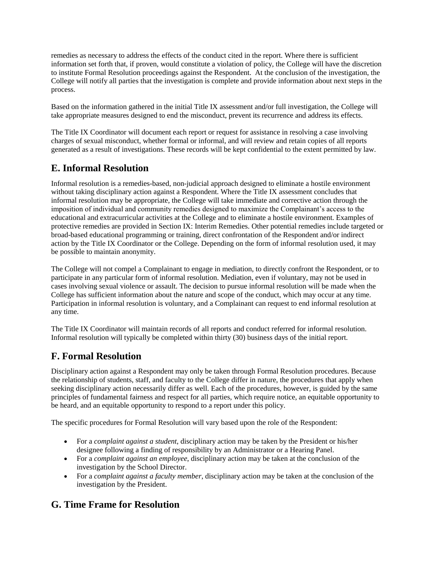remedies as necessary to address the effects of the conduct cited in the report. Where there is sufficient information set forth that, if proven, would constitute a violation of policy, the College will have the discretion to institute Formal Resolution proceedings against the Respondent. At the conclusion of the investigation, the College will notify all parties that the investigation is complete and provide information about next steps in the process.

Based on the information gathered in the initial Title IX assessment and/or full investigation, the College will take appropriate measures designed to end the misconduct, prevent its recurrence and address its effects.

The Title IX Coordinator will document each report or request for assistance in resolving a case involving charges of sexual misconduct, whether formal or informal, and will review and retain copies of all reports generated as a result of investigations. These records will be kept confidential to the extent permitted by law.

## **E. Informal Resolution**

Informal resolution is a remedies-based, non-judicial approach designed to eliminate a hostile environment without taking disciplinary action against a Respondent. Where the Title IX assessment concludes that informal resolution may be appropriate, the College will take immediate and corrective action through the imposition of individual and community remedies designed to maximize the Complainant's access to the educational and extracurricular activities at the College and to eliminate a hostile environment. Examples of protective remedies are provided in Section IX: Interim Remedies. Other potential remedies include targeted or broad-based educational programming or training, direct confrontation of the Respondent and/or indirect action by the Title IX Coordinator or the College. Depending on the form of informal resolution used, it may be possible to maintain anonymity.

The College will not compel a Complainant to engage in mediation, to directly confront the Respondent, or to participate in any particular form of informal resolution. Mediation, even if voluntary, may not be used in cases involving sexual violence or assault. The decision to pursue informal resolution will be made when the College has sufficient information about the nature and scope of the conduct, which may occur at any time. Participation in informal resolution is voluntary, and a Complainant can request to end informal resolution at any time.

The Title IX Coordinator will maintain records of all reports and conduct referred for informal resolution. Informal resolution will typically be completed within thirty (30) business days of the initial report.

### **F. Formal Resolution**

Disciplinary action against a Respondent may only be taken through Formal Resolution procedures. Because the relationship of students, staff, and faculty to the College differ in nature, the procedures that apply when seeking disciplinary action necessarily differ as well. Each of the procedures, however, is guided by the same principles of fundamental fairness and respect for all parties, which require notice, an equitable opportunity to be heard, and an equitable opportunity to respond to a report under this policy.

The specific procedures for Formal Resolution will vary based upon the role of the Respondent:

- For a *complaint against a student*, disciplinary action may be taken by the President or his/her designee following a finding of responsibility by an Administrator or a Hearing Panel.
- For a *complaint against an employee*, disciplinary action may be taken at the conclusion of the investigation by the School Director.
- For a *complaint against a faculty member*, disciplinary action may be taken at the conclusion of the investigation by the President.

### **G. Time Frame for Resolution**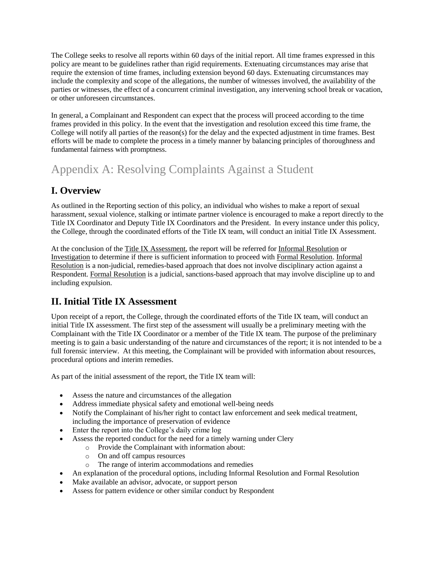The College seeks to resolve all reports within 60 days of the initial report. All time frames expressed in this policy are meant to be guidelines rather than rigid requirements. Extenuating circumstances may arise that require the extension of time frames, including extension beyond 60 days. Extenuating circumstances may include the complexity and scope of the allegations, the number of witnesses involved, the availability of the parties or witnesses, the effect of a concurrent criminal investigation, any intervening school break or vacation, or other unforeseen circumstances.

In general, a Complainant and Respondent can expect that the process will proceed according to the time frames provided in this policy. In the event that the investigation and resolution exceed this time frame, the College will notify all parties of the reason(s) for the delay and the expected adjustment in time frames. Best efforts will be made to complete the process in a timely manner by balancing principles of thoroughness and fundamental fairness with promptness.

# Appendix A: Resolving Complaints Against a Student

# **I. Overview**

As outlined in the Reporting section of this policy, an individual who wishes to make a report of sexual harassment, sexual violence, stalking or intimate partner violence is encouraged to make a report directly to the Title IX Coordinator and Deputy Title IX Coordinators and the President. In every instance under this policy, the College, through the coordinated efforts of the Title IX team, will conduct an initial Title IX Assessment.

At the conclusion of the Title IX Assessment, the report will be referred for Informal Resolution or Investigation to determine if there is sufficient information to proceed with Formal Resolution. Informal Resolution is a non-judicial, remedies-based approach that does not involve disciplinary action against a Respondent. Formal Resolution is a judicial, sanctions-based approach that may involve discipline up to and including expulsion.

# **II. Initial Title IX Assessment**

Upon receipt of a report, the College, through the coordinated efforts of the Title IX team, will conduct an initial Title IX assessment. The first step of the assessment will usually be a preliminary meeting with the Complainant with the Title IX Coordinator or a member of the Title IX team. The purpose of the preliminary meeting is to gain a basic understanding of the nature and circumstances of the report; it is not intended to be a full forensic interview. At this meeting, the Complainant will be provided with information about resources, procedural options and interim remedies.

As part of the initial assessment of the report, the Title IX team will:

- Assess the nature and circumstances of the allegation
- Address immediate physical safety and emotional well-being needs
- Notify the Complainant of his/her right to contact law enforcement and seek medical treatment, including the importance of preservation of evidence
- Enter the report into the College's daily crime log
- Assess the reported conduct for the need for a timely warning under Clery
	- o Provide the Complainant with information about:
	- o On and off campus resources
	- The range of interim accommodations and remedies
- An explanation of the procedural options, including Informal Resolution and Formal Resolution
- Make available an advisor, advocate, or support person
- Assess for pattern evidence or other similar conduct by Respondent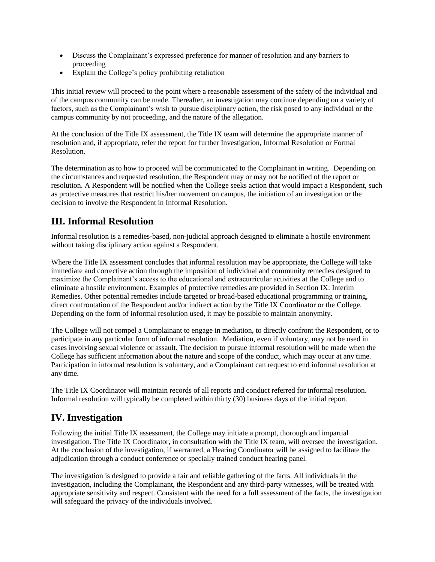- Discuss the Complainant's expressed preference for manner of resolution and any barriers to proceeding
- Explain the College's policy prohibiting retaliation

This initial review will proceed to the point where a reasonable assessment of the safety of the individual and of the campus community can be made. Thereafter, an investigation may continue depending on a variety of factors, such as the Complainant's wish to pursue disciplinary action, the risk posed to any individual or the campus community by not proceeding, and the nature of the allegation.

At the conclusion of the Title IX assessment, the Title IX team will determine the appropriate manner of resolution and, if appropriate, refer the report for further Investigation, Informal Resolution or Formal Resolution.

The determination as to how to proceed will be communicated to the Complainant in writing. Depending on the circumstances and requested resolution, the Respondent may or may not be notified of the report or resolution. A Respondent will be notified when the College seeks action that would impact a Respondent, such as protective measures that restrict his/her movement on campus, the initiation of an investigation or the decision to involve the Respondent in Informal Resolution.

# **III. Informal Resolution**

Informal resolution is a remedies-based, non-judicial approach designed to eliminate a hostile environment without taking disciplinary action against a Respondent.

Where the Title IX assessment concludes that informal resolution may be appropriate, the College will take immediate and corrective action through the imposition of individual and community remedies designed to maximize the Complainant's access to the educational and extracurricular activities at the College and to eliminate a hostile environment. Examples of protective remedies are provided in Section IX: Interim Remedies. Other potential remedies include targeted or broad-based educational programming or training, direct confrontation of the Respondent and/or indirect action by the Title IX Coordinator or the College. Depending on the form of informal resolution used, it may be possible to maintain anonymity.

The College will not compel a Complainant to engage in mediation, to directly confront the Respondent, or to participate in any particular form of informal resolution. Mediation, even if voluntary, may not be used in cases involving sexual violence or assault. The decision to pursue informal resolution will be made when the College has sufficient information about the nature and scope of the conduct, which may occur at any time. Participation in informal resolution is voluntary, and a Complainant can request to end informal resolution at any time.

The Title IX Coordinator will maintain records of all reports and conduct referred for informal resolution. Informal resolution will typically be completed within thirty (30) business days of the initial report.

### **IV. Investigation**

Following the initial Title IX assessment, the College may initiate a prompt, thorough and impartial investigation. The Title IX Coordinator, in consultation with the Title IX team, will oversee the investigation. At the conclusion of the investigation, if warranted, a Hearing Coordinator will be assigned to facilitate the adjudication through a conduct conference or specially trained conduct hearing panel.

The investigation is designed to provide a fair and reliable gathering of the facts. All individuals in the investigation, including the Complainant, the Respondent and any third-party witnesses, will be treated with appropriate sensitivity and respect. Consistent with the need for a full assessment of the facts, the investigation will safeguard the privacy of the individuals involved.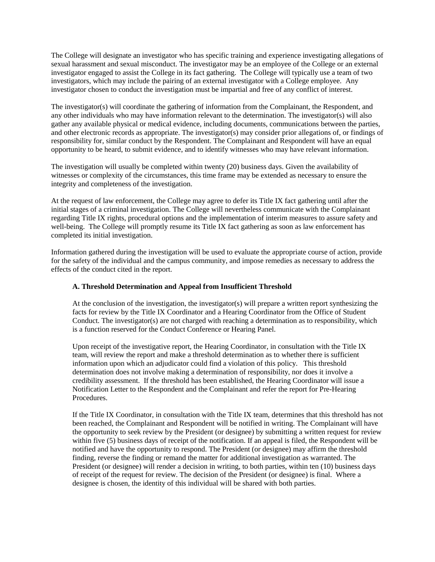The College will designate an investigator who has specific training and experience investigating allegations of sexual harassment and sexual misconduct. The investigator may be an employee of the College or an external investigator engaged to assist the College in its fact gathering. The College will typically use a team of two investigators, which may include the pairing of an external investigator with a College employee. Any investigator chosen to conduct the investigation must be impartial and free of any conflict of interest.

The investigator(s) will coordinate the gathering of information from the Complainant, the Respondent, and any other individuals who may have information relevant to the determination. The investigator(s) will also gather any available physical or medical evidence, including documents, communications between the parties, and other electronic records as appropriate. The investigator(s) may consider prior allegations of, or findings of responsibility for, similar conduct by the Respondent. The Complainant and Respondent will have an equal opportunity to be heard, to submit evidence, and to identify witnesses who may have relevant information.

The investigation will usually be completed within twenty (20) business days. Given the availability of witnesses or complexity of the circumstances, this time frame may be extended as necessary to ensure the integrity and completeness of the investigation.

At the request of law enforcement, the College may agree to defer its Title IX fact gathering until after the initial stages of a criminal investigation. The College will nevertheless communicate with the Complainant regarding Title IX rights, procedural options and the implementation of interim measures to assure safety and well-being. The College will promptly resume its Title IX fact gathering as soon as law enforcement has completed its initial investigation.

Information gathered during the investigation will be used to evaluate the appropriate course of action, provide for the safety of the individual and the campus community, and impose remedies as necessary to address the effects of the conduct cited in the report.

#### **A. Threshold Determination and Appeal from Insufficient Threshold**

At the conclusion of the investigation, the investigator(s) will prepare a written report synthesizing the facts for review by the Title IX Coordinator and a Hearing Coordinator from the Office of Student Conduct. The investigator(s) are not charged with reaching a determination as to responsibility, which is a function reserved for the Conduct Conference or Hearing Panel.

Upon receipt of the investigative report, the Hearing Coordinator, in consultation with the Title IX team, will review the report and make a threshold determination as to whether there is sufficient information upon which an adjudicator could find a violation of this policy. This threshold determination does not involve making a determination of responsibility, nor does it involve a credibility assessment. If the threshold has been established, the Hearing Coordinator will issue a Notification Letter to the Respondent and the Complainant and refer the report for Pre-Hearing Procedures.

If the Title IX Coordinator, in consultation with the Title IX team, determines that this threshold has not been reached, the Complainant and Respondent will be notified in writing. The Complainant will have the opportunity to seek review by the President (or designee) by submitting a written request for review within five (5) business days of receipt of the notification. If an appeal is filed, the Respondent will be notified and have the opportunity to respond. The President (or designee) may affirm the threshold finding, reverse the finding or remand the matter for additional investigation as warranted. The President (or designee) will render a decision in writing, to both parties, within ten (10) business days of receipt of the request for review. The decision of the President (or designee) is final. Where a designee is chosen, the identity of this individual will be shared with both parties.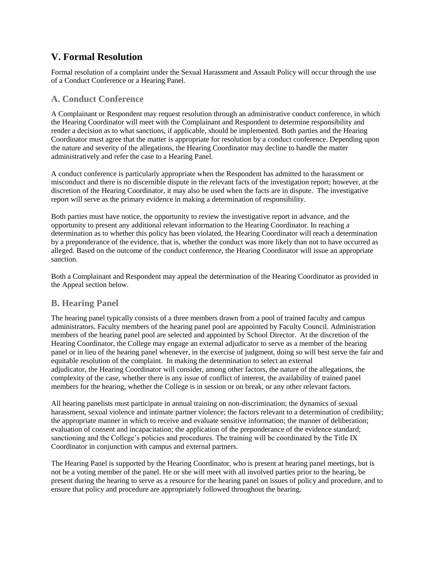## **V. Formal Resolution**

Formal resolution of a complaint under the Sexual Harassment and Assault Policy will occur through the use of a Conduct Conference or a Hearing Panel.

#### **A. Conduct Conference**

A Complainant or Respondent may request resolution through an administrative conduct conference, in which the Hearing Coordinator will meet with the Complainant and Respondent to determine responsibility and render a decision as to what sanctions, if applicable, should be implemented. Both parties and the Hearing Coordinator must agree that the matter is appropriate for resolution by a conduct conference. Depending upon the nature and severity of the allegations, the Hearing Coordinator may decline to handle the matter administratively and refer the case to a Hearing Panel.

A conduct conference is particularly appropriate when the Respondent has admitted to the harassment or misconduct and there is no discernible dispute in the relevant facts of the investigation report; however, at the discretion of the Hearing Coordinator, it may also be used when the facts are in dispute. The investigative report will serve as the primary evidence in making a determination of responsibility.

Both parties must have notice, the opportunity to review the investigative report in advance, and the opportunity to present any additional relevant information to the Hearing Coordinator. In reaching a determination as to whether this policy has been violated, the Hearing Coordinator will reach a determination by a preponderance of the evidence, that is, whether the conduct was more likely than not to have occurred as alleged. Based on the outcome of the conduct conference, the Hearing Coordinator will issue an appropriate sanction.

Both a Complainant and Respondent may appeal the determination of the Hearing Coordinator as provided in the Appeal section below.

#### **B. Hearing Panel**

The hearing panel typically consists of a three members drawn from a pool of trained faculty and campus administrators. Faculty members of the hearing panel pool are appointed by Faculty Council. Administration members of the hearing panel pool are selected and appointed by School Director. At the discretion of the Hearing Coordinator, the College may engage an external adjudicator to serve as a member of the hearing panel or in lieu of the hearing panel whenever, in the exercise of judgment, doing so will best serve the fair and equitable resolution of the complaint. In making the determination to select an external adjudicator, the Hearing Coordinator will consider, among other factors, the nature of the allegations, the complexity of the case, whether there is any issue of conflict of interest, the availability of trained panel members for the hearing, whether the College is in session or on break, or any other relevant factors.

All hearing panelists must participate in annual training on non-discrimination; the dynamics of sexual harassment, sexual violence and intimate partner violence; the factors relevant to a determination of credibility; the appropriate manner in which to receive and evaluate sensitive information; the manner of deliberation; evaluation of consent and incapacitation; the application of the preponderance of the evidence standard; sanctioning and the College's policies and procedures. The training will be coordinated by the Title IX Coordinator in conjunction with campus and external partners.

The Hearing Panel is supported by the Hearing Coordinator, who is present at hearing panel meetings, but is not be a voting member of the panel. He or she will meet with all involved parties prior to the hearing, be present during the hearing to serve as a resource for the hearing panel on issues of policy and procedure, and to ensure that policy and procedure are appropriately followed throughout the hearing.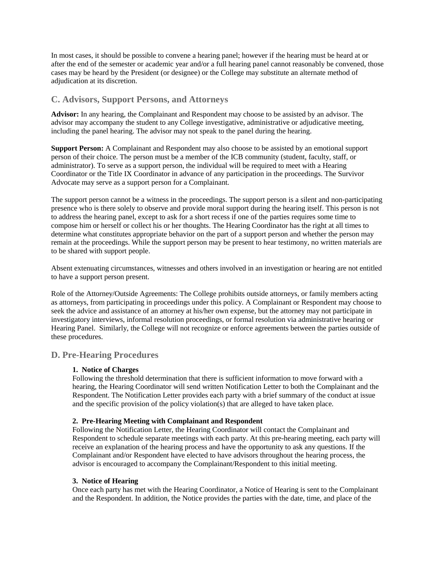In most cases, it should be possible to convene a hearing panel; however if the hearing must be heard at or after the end of the semester or academic year and/or a full hearing panel cannot reasonably be convened, those cases may be heard by the President (or designee) or the College may substitute an alternate method of adjudication at its discretion.

#### **C. Advisors, Support Persons, and Attorneys**

**Advisor:** In any hearing, the Complainant and Respondent may choose to be assisted by an advisor. The advisor may accompany the student to any College investigative, administrative or adjudicative meeting, including the panel hearing. The advisor may not speak to the panel during the hearing.

**Support Person:** A Complainant and Respondent may also choose to be assisted by an emotional support person of their choice. The person must be a member of the ICB community (student, faculty, staff, or administrator). To serve as a support person, the individual will be required to meet with a Hearing Coordinator or the Title IX Coordinator in advance of any participation in the proceedings. The Survivor Advocate may serve as a support person for a Complainant.

The support person cannot be a witness in the proceedings. The support person is a silent and non-participating presence who is there solely to observe and provide moral support during the hearing itself. This person is not to address the hearing panel, except to ask for a short recess if one of the parties requires some time to compose him or herself or collect his or her thoughts. The Hearing Coordinator has the right at all times to determine what constitutes appropriate behavior on the part of a support person and whether the person may remain at the proceedings. While the support person may be present to hear testimony, no written materials are to be shared with support people.

Absent extenuating circumstances, witnesses and others involved in an investigation or hearing are not entitled to have a support person present.

Role of the Attorney/Outside Agreements: The College prohibits outside attorneys, or family members acting as attorneys, from participating in proceedings under this policy. A Complainant or Respondent may choose to seek the advice and assistance of an attorney at his/her own expense, but the attorney may not participate in investigatory interviews, informal resolution proceedings, or formal resolution via administrative hearing or Hearing Panel. Similarly, the College will not recognize or enforce agreements between the parties outside of these procedures.

#### **D. Pre-Hearing Procedures**

#### **1. Notice of Charges**

Following the threshold determination that there is sufficient information to move forward with a hearing, the Hearing Coordinator will send written Notification Letter to both the Complainant and the Respondent. The Notification Letter provides each party with a brief summary of the conduct at issue and the specific provision of the policy violation(s) that are alleged to have taken place.

#### **2. Pre-Hearing Meeting with Complainant and Respondent**

Following the Notification Letter, the Hearing Coordinator will contact the Complainant and Respondent to schedule separate meetings with each party. At this pre-hearing meeting, each party will receive an explanation of the hearing process and have the opportunity to ask any questions. If the Complainant and/or Respondent have elected to have advisors throughout the hearing process, the advisor is encouraged to accompany the Complainant/Respondent to this initial meeting.

#### **3. Notice of Hearing**

Once each party has met with the Hearing Coordinator, a Notice of Hearing is sent to the Complainant and the Respondent. In addition, the Notice provides the parties with the date, time, and place of the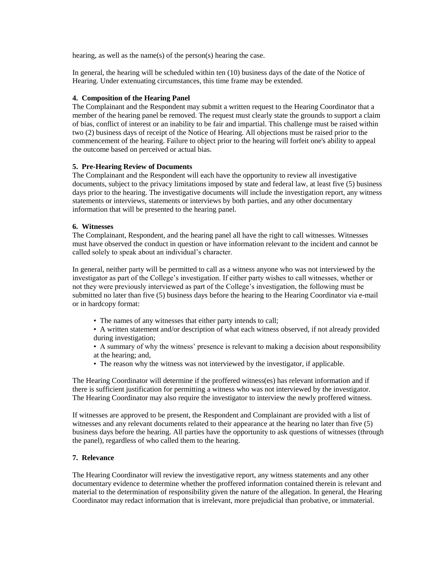hearing, as well as the name(s) of the person(s) hearing the case.

In general, the hearing will be scheduled within ten (10) business days of the date of the Notice of Hearing. Under extenuating circumstances, this time frame may be extended.

#### **4. Composition of the Hearing Panel**

The Complainant and the Respondent may submit a written request to the Hearing Coordinator that a member of the hearing panel be removed. The request must clearly state the grounds to support a claim of bias, conflict of interest or an inability to be fair and impartial. This challenge must be raised within two (2) business days of receipt of the Notice of Hearing. All objections must be raised prior to the commencement of the hearing. Failure to object prior to the hearing will forfeit one's ability to appeal the outcome based on perceived or actual bias.

#### **5. Pre-Hearing Review of Documents**

The Complainant and the Respondent will each have the opportunity to review all investigative documents, subject to the privacy limitations imposed by state and federal law, at least five (5) business days prior to the hearing. The investigative documents will include the investigation report, any witness statements or interviews, statements or interviews by both parties, and any other documentary information that will be presented to the hearing panel.

#### **6. Witnesses**

The Complainant, Respondent, and the hearing panel all have the right to call witnesses. Witnesses must have observed the conduct in question or have information relevant to the incident and cannot be called solely to speak about an individual's character.

In general, neither party will be permitted to call as a witness anyone who was not interviewed by the investigator as part of the College's investigation. If either party wishes to call witnesses, whether or not they were previously interviewed as part of the College's investigation, the following must be submitted no later than five (5) business days before the hearing to the Hearing Coordinator via e-mail or in hardcopy format:

- The names of any witnesses that either party intends to call;
- A written statement and/or description of what each witness observed, if not already provided during investigation;
- A summary of why the witness' presence is relevant to making a decision about responsibility at the hearing; and,
- The reason why the witness was not interviewed by the investigator, if applicable.

The Hearing Coordinator will determine if the proffered witness(es) has relevant information and if there is sufficient justification for permitting a witness who was not interviewed by the investigator. The Hearing Coordinator may also require the investigator to interview the newly proffered witness.

If witnesses are approved to be present, the Respondent and Complainant are provided with a list of witnesses and any relevant documents related to their appearance at the hearing no later than five (5) business days before the hearing. All parties have the opportunity to ask questions of witnesses (through the panel), regardless of who called them to the hearing.

#### **7. Relevance**

The Hearing Coordinator will review the investigative report, any witness statements and any other documentary evidence to determine whether the proffered information contained therein is relevant and material to the determination of responsibility given the nature of the allegation. In general, the Hearing Coordinator may redact information that is irrelevant, more prejudicial than probative, or immaterial.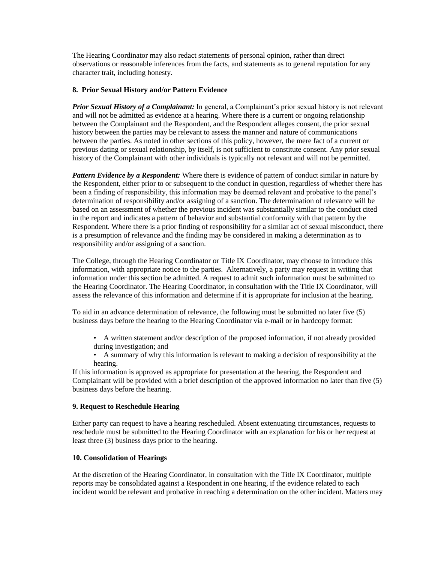The Hearing Coordinator may also redact statements of personal opinion, rather than direct observations or reasonable inferences from the facts, and statements as to general reputation for any character trait, including honesty.

#### **8. Prior Sexual History and/or Pattern Evidence**

*Prior Sexual History of a Complainant:* In general, a Complainant's prior sexual history is not relevant and will not be admitted as evidence at a hearing. Where there is a current or ongoing relationship between the Complainant and the Respondent, and the Respondent alleges consent, the prior sexual history between the parties may be relevant to assess the manner and nature of communications between the parties. As noted in other sections of this policy, however, the mere fact of a current or previous dating or sexual relationship, by itself, is not sufficient to constitute consent. Any prior sexual history of the Complainant with other individuals is typically not relevant and will not be permitted.

*Pattern Evidence by a Respondent:* Where there is evidence of pattern of conduct similar in nature by the Respondent, either prior to or subsequent to the conduct in question, regardless of whether there has been a finding of responsibility, this information may be deemed relevant and probative to the panel's determination of responsibility and/or assigning of a sanction. The determination of relevance will be based on an assessment of whether the previous incident was substantially similar to the conduct cited in the report and indicates a pattern of behavior and substantial conformity with that pattern by the Respondent. Where there is a prior finding of responsibility for a similar act of sexual misconduct, there is a presumption of relevance and the finding may be considered in making a determination as to responsibility and/or assigning of a sanction.

The College, through the Hearing Coordinator or Title IX Coordinator, may choose to introduce this information, with appropriate notice to the parties. Alternatively, a party may request in writing that information under this section be admitted. A request to admit such information must be submitted to the Hearing Coordinator. The Hearing Coordinator, in consultation with the Title IX Coordinator, will assess the relevance of this information and determine if it is appropriate for inclusion at the hearing.

To aid in an advance determination of relevance, the following must be submitted no later five (5) business days before the hearing to the Hearing Coordinator via e-mail or in hardcopy format:

- A written statement and/or description of the proposed information, if not already provided during investigation; and
- A summary of why this information is relevant to making a decision of responsibility at the hearing.

If this information is approved as appropriate for presentation at the hearing, the Respondent and Complainant will be provided with a brief description of the approved information no later than five (5) business days before the hearing.

#### **9. Request to Reschedule Hearing**

Either party can request to have a hearing rescheduled. Absent extenuating circumstances, requests to reschedule must be submitted to the Hearing Coordinator with an explanation for his or her request at least three (3) business days prior to the hearing.

#### **10. Consolidation of Hearings**

At the discretion of the Hearing Coordinator, in consultation with the Title IX Coordinator, multiple reports may be consolidated against a Respondent in one hearing, if the evidence related to each incident would be relevant and probative in reaching a determination on the other incident. Matters may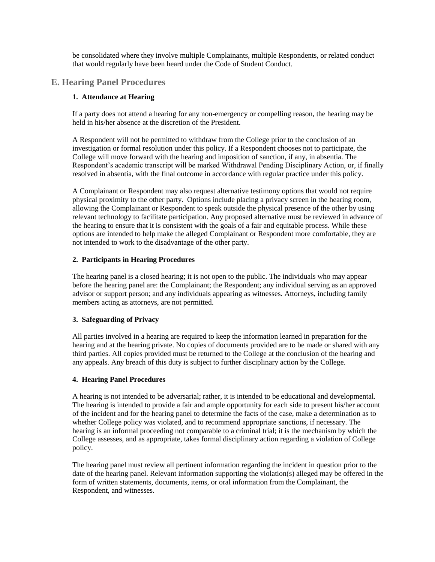be consolidated where they involve multiple Complainants, multiple Respondents, or related conduct that would regularly have been heard under the Code of Student Conduct.

#### **E. Hearing Panel Procedures**

#### **1. Attendance at Hearing**

If a party does not attend a hearing for any non-emergency or compelling reason, the hearing may be held in his/her absence at the discretion of the President.

A Respondent will not be permitted to withdraw from the College prior to the conclusion of an investigation or formal resolution under this policy. If a Respondent chooses not to participate, the College will move forward with the hearing and imposition of sanction, if any, in absentia. The Respondent's academic transcript will be marked Withdrawal Pending Disciplinary Action, or, if finally resolved in absentia, with the final outcome in accordance with regular practice under this policy.

A Complainant or Respondent may also request alternative testimony options that would not require physical proximity to the other party. Options include placing a privacy screen in the hearing room, allowing the Complainant or Respondent to speak outside the physical presence of the other by using relevant technology to facilitate participation. Any proposed alternative must be reviewed in advance of the hearing to ensure that it is consistent with the goals of a fair and equitable process. While these options are intended to help make the alleged Complainant or Respondent more comfortable, they are not intended to work to the disadvantage of the other party.

#### **2. Participants in Hearing Procedures**

The hearing panel is a closed hearing; it is not open to the public. The individuals who may appear before the hearing panel are: the Complainant; the Respondent; any individual serving as an approved advisor or support person; and any individuals appearing as witnesses. Attorneys, including family members acting as attorneys, are not permitted.

#### **3. Safeguarding of Privacy**

All parties involved in a hearing are required to keep the information learned in preparation for the hearing and at the hearing private. No copies of documents provided are to be made or shared with any third parties. All copies provided must be returned to the College at the conclusion of the hearing and any appeals. Any breach of this duty is subject to further disciplinary action by the College.

#### **4. Hearing Panel Procedures**

A hearing is not intended to be adversarial; rather, it is intended to be educational and developmental. The hearing is intended to provide a fair and ample opportunity for each side to present his/her account of the incident and for the hearing panel to determine the facts of the case, make a determination as to whether College policy was violated, and to recommend appropriate sanctions, if necessary. The hearing is an informal proceeding not comparable to a criminal trial; it is the mechanism by which the College assesses, and as appropriate, takes formal disciplinary action regarding a violation of College policy.

The hearing panel must review all pertinent information regarding the incident in question prior to the date of the hearing panel. Relevant information supporting the violation(s) alleged may be offered in the form of written statements, documents, items, or oral information from the Complainant, the Respondent, and witnesses.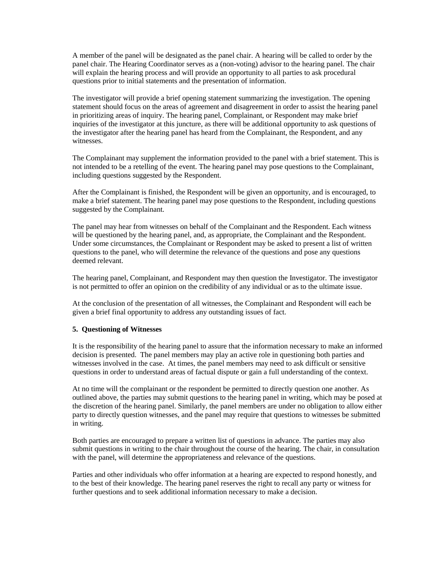A member of the panel will be designated as the panel chair. A hearing will be called to order by the panel chair. The Hearing Coordinator serves as a (non-voting) advisor to the hearing panel. The chair will explain the hearing process and will provide an opportunity to all parties to ask procedural questions prior to initial statements and the presentation of information.

The investigator will provide a brief opening statement summarizing the investigation. The opening statement should focus on the areas of agreement and disagreement in order to assist the hearing panel in prioritizing areas of inquiry. The hearing panel, Complainant, or Respondent may make brief inquiries of the investigator at this juncture, as there will be additional opportunity to ask questions of the investigator after the hearing panel has heard from the Complainant, the Respondent, and any witnesses.

The Complainant may supplement the information provided to the panel with a brief statement. This is not intended to be a retelling of the event. The hearing panel may pose questions to the Complainant, including questions suggested by the Respondent.

After the Complainant is finished, the Respondent will be given an opportunity, and is encouraged, to make a brief statement. The hearing panel may pose questions to the Respondent, including questions suggested by the Complainant.

The panel may hear from witnesses on behalf of the Complainant and the Respondent. Each witness will be questioned by the hearing panel, and, as appropriate, the Complainant and the Respondent. Under some circumstances, the Complainant or Respondent may be asked to present a list of written questions to the panel, who will determine the relevance of the questions and pose any questions deemed relevant.

The hearing panel, Complainant, and Respondent may then question the Investigator. The investigator is not permitted to offer an opinion on the credibility of any individual or as to the ultimate issue.

At the conclusion of the presentation of all witnesses, the Complainant and Respondent will each be given a brief final opportunity to address any outstanding issues of fact.

#### **5. Questioning of Witnesses**

It is the responsibility of the hearing panel to assure that the information necessary to make an informed decision is presented. The panel members may play an active role in questioning both parties and witnesses involved in the case. At times, the panel members may need to ask difficult or sensitive questions in order to understand areas of factual dispute or gain a full understanding of the context.

At no time will the complainant or the respondent be permitted to directly question one another. As outlined above, the parties may submit questions to the hearing panel in writing, which may be posed at the discretion of the hearing panel. Similarly, the panel members are under no obligation to allow either party to directly question witnesses, and the panel may require that questions to witnesses be submitted in writing.

Both parties are encouraged to prepare a written list of questions in advance. The parties may also submit questions in writing to the chair throughout the course of the hearing. The chair, in consultation with the panel, will determine the appropriateness and relevance of the questions.

Parties and other individuals who offer information at a hearing are expected to respond honestly, and to the best of their knowledge. The hearing panel reserves the right to recall any party or witness for further questions and to seek additional information necessary to make a decision.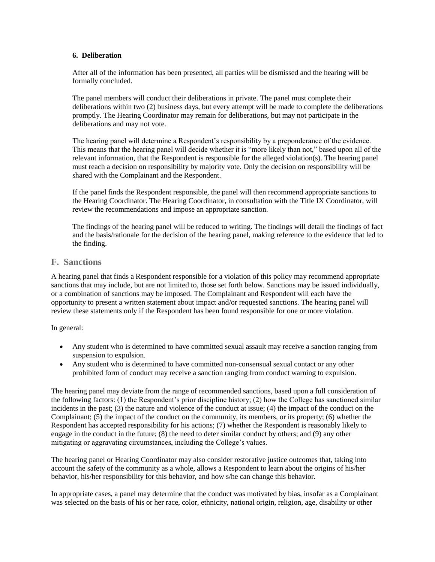#### **6. Deliberation**

After all of the information has been presented, all parties will be dismissed and the hearing will be formally concluded.

The panel members will conduct their deliberations in private. The panel must complete their deliberations within two (2) business days, but every attempt will be made to complete the deliberations promptly. The Hearing Coordinator may remain for deliberations, but may not participate in the deliberations and may not vote.

The hearing panel will determine a Respondent's responsibility by a preponderance of the evidence. This means that the hearing panel will decide whether it is "more likely than not," based upon all of the relevant information, that the Respondent is responsible for the alleged violation(s). The hearing panel must reach a decision on responsibility by majority vote. Only the decision on responsibility will be shared with the Complainant and the Respondent.

If the panel finds the Respondent responsible, the panel will then recommend appropriate sanctions to the Hearing Coordinator. The Hearing Coordinator, in consultation with the Title IX Coordinator, will review the recommendations and impose an appropriate sanction.

The findings of the hearing panel will be reduced to writing. The findings will detail the findings of fact and the basis/rationale for the decision of the hearing panel, making reference to the evidence that led to the finding.

#### **F. Sanctions**

A hearing panel that finds a Respondent responsible for a violation of this policy may recommend appropriate sanctions that may include, but are not limited to, those set forth below. Sanctions may be issued individually, or a combination of sanctions may be imposed. The Complainant and Respondent will each have the opportunity to present a written statement about impact and/or requested sanctions. The hearing panel will review these statements only if the Respondent has been found responsible for one or more violation.

In general:

- Any student who is determined to have committed sexual assault may receive a sanction ranging from suspension to expulsion.
- Any student who is determined to have committed non-consensual sexual contact or any other prohibited form of conduct may receive a sanction ranging from conduct warning to expulsion.

The hearing panel may deviate from the range of recommended sanctions, based upon a full consideration of the following factors: (1) the Respondent's prior discipline history; (2) how the College has sanctioned similar incidents in the past; (3) the nature and violence of the conduct at issue; (4) the impact of the conduct on the Complainant; (5) the impact of the conduct on the community, its members, or its property; (6) whether the Respondent has accepted responsibility for his actions; (7) whether the Respondent is reasonably likely to engage in the conduct in the future; (8) the need to deter similar conduct by others; and (9) any other mitigating or aggravating circumstances, including the College's values.

The hearing panel or Hearing Coordinator may also consider restorative justice outcomes that, taking into account the safety of the community as a whole, allows a Respondent to learn about the origins of his/her behavior, his/her responsibility for this behavior, and how s/he can change this behavior.

In appropriate cases, a panel may determine that the conduct was motivated by bias, insofar as a Complainant was selected on the basis of his or her race, color, ethnicity, national origin, religion, age, disability or other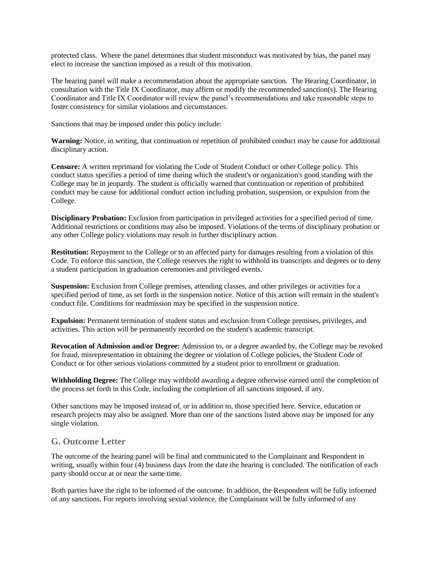protected class. Where the panel determines that student misconduct was motivated by bias, the panel may elect to increase the sanction imposed as a result of this motivation.

The hearing panel will make a recommendation about the appropriate sanction. The Hearing Coordinator, in consultation with the Title IX Coordinator, may affirm or modify the recommended sanction(s). The Hearing Coordinator and Title IX Coordinator will review the panel's recommendations and take reasonable steps to foster consistency for similar violations and circumstances.

Sanctions that may be imposed under this policy include:

**Warning:** Notice, in writing, that continuation or repetition of prohibited conduct may be cause for additional disciplinary action.

**Censure:** A written reprimand for violating the Code of Student Conduct or other College policy. This conduct status specifies a period of time during which the student's or organization's good standing with the College may be in jeopardy. The student is officially warned that continuation or repetition of prohibited conduct may be cause for additional conduct action including probation, suspension, or expulsion from the College.

**Disciplinary Probation:** Exclusion from participation in privileged activities for a specified period of time. Additional restrictions or conditions may also be imposed. Violations of the terms of disciplinary probation or any other College policy violations may result in further disciplinary action.

**Restitution:** Repayment to the College or to an affected party for damages resulting from a violation of this Code. To enforce this sanction, the College reserves the right to withhold its transcripts and degrees or to deny a student participation in graduation ceremonies and privileged events.

**Suspension:** Exclusion from College premises, attending classes, and other privileges or activities for a specified period of time, as set forth in the suspension notice. Notice of this action will remain in the student's conduct file. Conditions for readmission may be specified in the suspension notice.

**Expulsion:** Permanent termination of student status and exclusion from College premises, privileges, and activities. This action will be permanently recorded on the student's academic transcript.

**Revocation of Admission and/or Degree:** Admission to, or a degree awarded by, the College may be revoked for fraud, misrepresentation in obtaining the degree or violation of College policies, the Student Code of Conduct or for other serious violations committed by a student prior to enrollment or graduation.

**Withholding Degree:** The College may withhold awarding a degree otherwise earned until the completion of the process set forth in this Code, including the completion of all sanctions imposed, if any.

Other sanctions may be imposed instead of, or in addition to, those specified here. Service, education or research projects may also be assigned. More than one of the sanctions listed above may be imposed for any single violation.

#### **G. Outcome Letter**

The outcome of the hearing panel will be final and communicated to the Complainant and Respondent in writing, usually within four (4) business days from the date the hearing is concluded. The notification of each party should occur at or near the same time.

Both parties have the right to be informed of the outcome. In addition, the Respondent will be fully informed of any sanctions. For reports involving sexual violence, the Complainant will be fully informed of any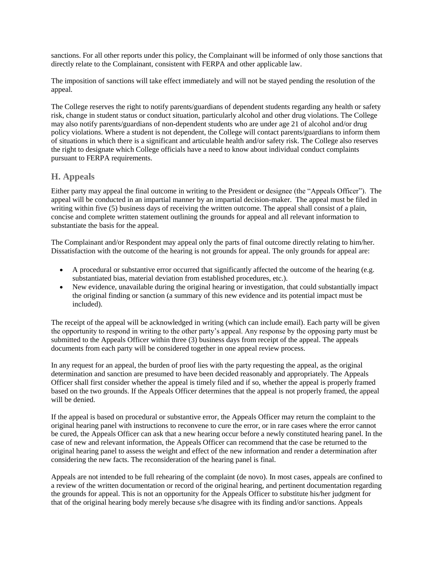sanctions. For all other reports under this policy, the Complainant will be informed of only those sanctions that directly relate to the Complainant, consistent with FERPA and other applicable law.

The imposition of sanctions will take effect immediately and will not be stayed pending the resolution of the appeal.

The College reserves the right to notify parents/guardians of dependent students regarding any health or safety risk, change in student status or conduct situation, particularly alcohol and other drug violations. The College may also notify parents/guardians of non-dependent students who are under age 21 of alcohol and/or drug policy violations. Where a student is not dependent, the College will contact parents/guardians to inform them of situations in which there is a significant and articulable health and/or safety risk. The College also reserves the right to designate which College officials have a need to know about individual conduct complaints pursuant to FERPA requirements.

#### **H. Appeals**

Either party may appeal the final outcome in writing to the President or designee (the "Appeals Officer"). The appeal will be conducted in an impartial manner by an impartial decision-maker. The appeal must be filed in writing within five (5) business days of receiving the written outcome. The appeal shall consist of a plain, concise and complete written statement outlining the grounds for appeal and all relevant information to substantiate the basis for the appeal.

The Complainant and/or Respondent may appeal only the parts of final outcome directly relating to him/her. Dissatisfaction with the outcome of the hearing is not grounds for appeal. The only grounds for appeal are:

- A procedural or substantive error occurred that significantly affected the outcome of the hearing (e.g. substantiated bias, material deviation from established procedures, etc.).
- New evidence, unavailable during the original hearing or investigation, that could substantially impact the original finding or sanction (a summary of this new evidence and its potential impact must be included).

The receipt of the appeal will be acknowledged in writing (which can include email). Each party will be given the opportunity to respond in writing to the other party's appeal. Any response by the opposing party must be submitted to the Appeals Officer within three (3) business days from receipt of the appeal. The appeals documents from each party will be considered together in one appeal review process.

In any request for an appeal, the burden of proof lies with the party requesting the appeal, as the original determination and sanction are presumed to have been decided reasonably and appropriately. The Appeals Officer shall first consider whether the appeal is timely filed and if so, whether the appeal is properly framed based on the two grounds. If the Appeals Officer determines that the appeal is not properly framed, the appeal will be denied.

If the appeal is based on procedural or substantive error, the Appeals Officer may return the complaint to the original hearing panel with instructions to reconvene to cure the error, or in rare cases where the error cannot be cured, the Appeals Officer can ask that a new hearing occur before a newly constituted hearing panel. In the case of new and relevant information, the Appeals Officer can recommend that the case be returned to the original hearing panel to assess the weight and effect of the new information and render a determination after considering the new facts. The reconsideration of the hearing panel is final.

Appeals are not intended to be full rehearing of the complaint (de novo). In most cases, appeals are confined to a review of the written documentation or record of the original hearing, and pertinent documentation regarding the grounds for appeal. This is not an opportunity for the Appeals Officer to substitute his/her judgment for that of the original hearing body merely because s/he disagree with its finding and/or sanctions. Appeals